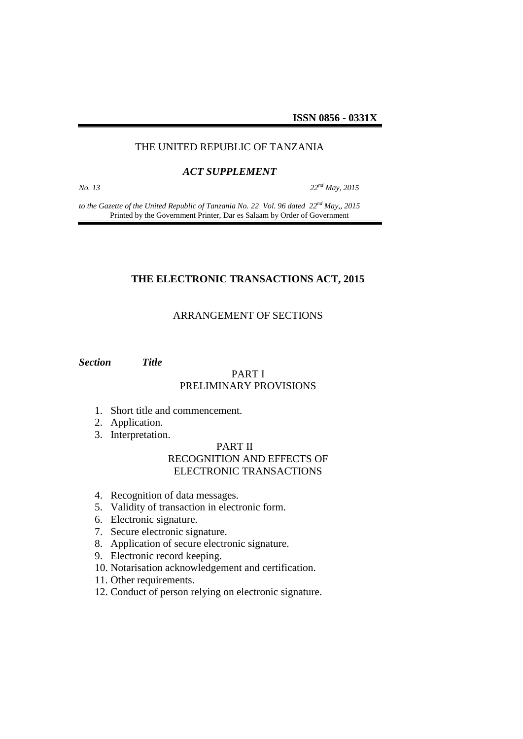**ISSN 0856 - 0331X**

#### THE UNITED REPUBLIC OF TANZANIA

#### *ACT SUPPLEMENT*

*No. 13 22nd May, 2015*

*to the Gazette of the United Republic of Tanzania No. 22 Vol. 96 dated 22nd May,, 2015* Printed by the Government Printer, Dar es Salaam by Order of Government

#### **THE ELECTRONIC TRANSACTIONS ACT, 2015**

### ARRANGEMENT OF SECTIONS

*Section Title*

#### PART I PRELIMINARY PROVISIONS

- 1. Short title and commencement.
- 2. Application.
- 3. Interpretation.

# PART II RECOGNITION AND EFFECTS OF ELECTRONIC TRANSACTIONS

- 4. Recognition of data messages.
- 5. Validity of transaction in electronic form.
- 6. Electronic signature.
- 7. Secure electronic signature.
- 8. Application of secure electronic signature.
- 9. Electronic record keeping.
- 10. Notarisation acknowledgement and certification.
- 11. Other requirements.
- 12. Conduct of person relying on electronic signature.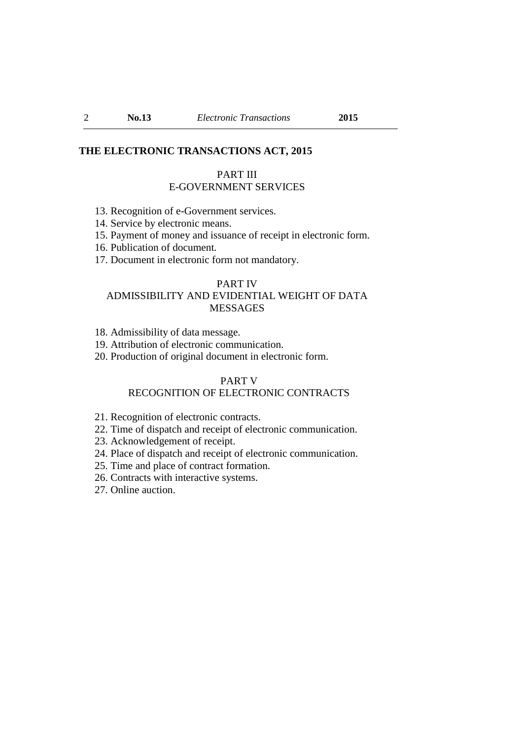#### **THE ELECTRONIC TRANSACTIONS ACT, 2015**

#### PART III E-GOVERNMENT SERVICES

- 13. Recognition of e-Government services.
- 14. Service by electronic means.
- 15. Payment of money and issuance of receipt in electronic form.
- 16. Publication of document*.*
- 17. Document in electronic form not mandatory.

#### PART IV

# ADMISSIBILITY AND EVIDENTIAL WEIGHT OF DATA MESSAGES

- 18. Admissibility of data message.
- 19. Attribution of electronic communication.
- 20. Production of original document in electronic form.

### PART V

# RECOGNITION OF ELECTRONIC CONTRACTS

- 21. Recognition of electronic contracts.
- 22. Time of dispatch and receipt of electronic communication.
- 23. Acknowledgement of receipt.
- 24. Place of dispatch and receipt of electronic communication.
- 25. Time and place of contract formation.
- 26. Contracts with interactive systems.
- 27. Online auction.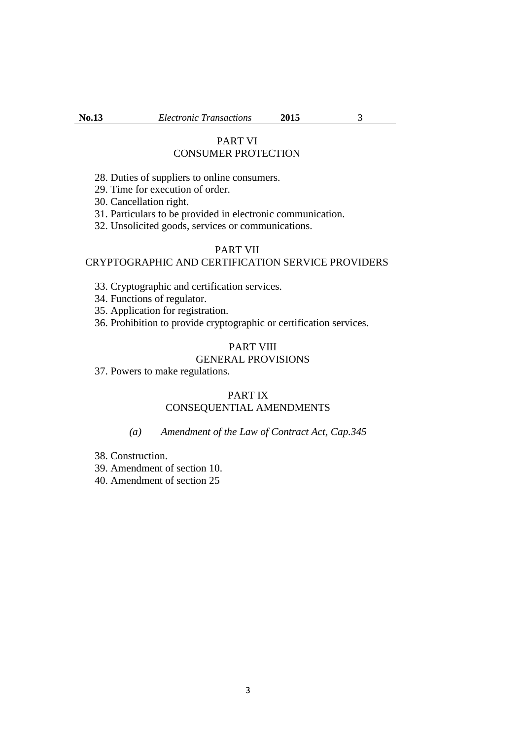### PART VI CONSUMER PROTECTION

- 28. Duties of suppliers to online consumers.
- 29. Time for execution of order.
- 30. Cancellation right.
- 31. Particulars to be provided in electronic communication.
- 32. Unsolicited goods, services or communications.

#### PART VII

### CRYPTOGRAPHIC AND CERTIFICATION SERVICE PROVIDERS

- 33. Cryptographic and certification services.
- 34. Functions of regulator.
- 35. Application for registration.
- 36. Prohibition to provide cryptographic or certification services.

# PART VIII

# GENERAL PROVISIONS

37. Powers to make regulations.

### PART IX CONSEQUENTIAL AMENDMENTS

### *(a) Amendment of the Law of Contract Act, Cap.345*

- 38. Construction.
- 39. Amendment of section 10.
- 40. Amendment of section 25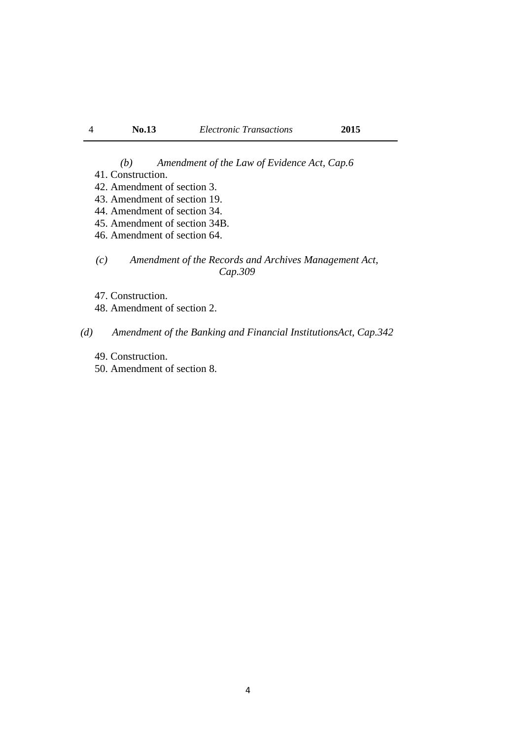*(b) Amendment of the Law of Evidence Act, Cap.6*

- 41. Construction.
- 42. Amendment of section 3.
- 43. Amendment of section 19.
- 44. Amendment of section 34.
- 45. Amendment of section 34B.
- 46. Amendment of section 64.
- *(c) Amendment of the Records and Archives Management Act, Cap.309*
- 47. Construction.
- 48. Amendment of section 2.

### *(d) Amendment of the Banking and Financial InstitutionsAct, Cap.342*

- 49. Construction.
- 50. Amendment of section 8.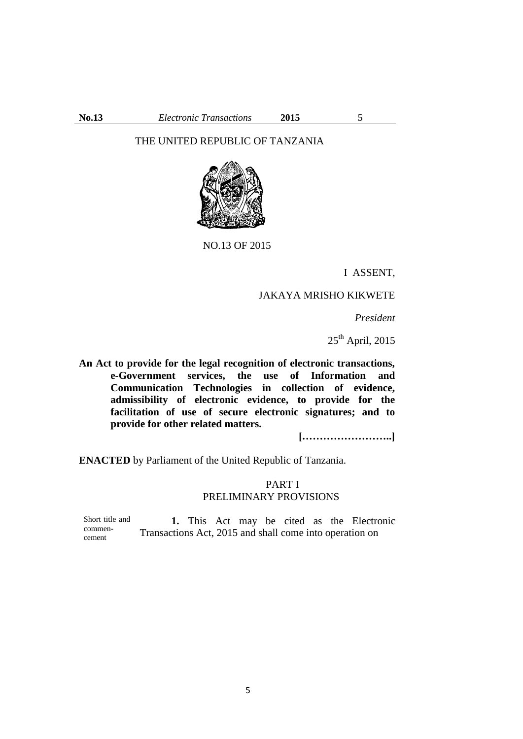### THE UNITED REPUBLIC OF TANZANIA



NO.13 OF 2015

I ASSENT,

# JAKAYA MRISHO KIKWETE

*President* 

 $25<sup>th</sup>$  April, 2015

**An Act to provide for the legal recognition of electronic transactions, e-Government services, the use of Information and Communication Technologies in collection of evidence, admissibility of electronic evidence, to provide for the facilitation of use of secure electronic signatures; and to provide for other related matters.**

**[……………………..]**

**ENACTED** by Parliament of the United Republic of Tanzania.

### PART I PRELIMINARY PROVISIONS

Short title and commencement **1.** This Act may be cited as the Electronic Transactions Act, 2015 and shall come into operation on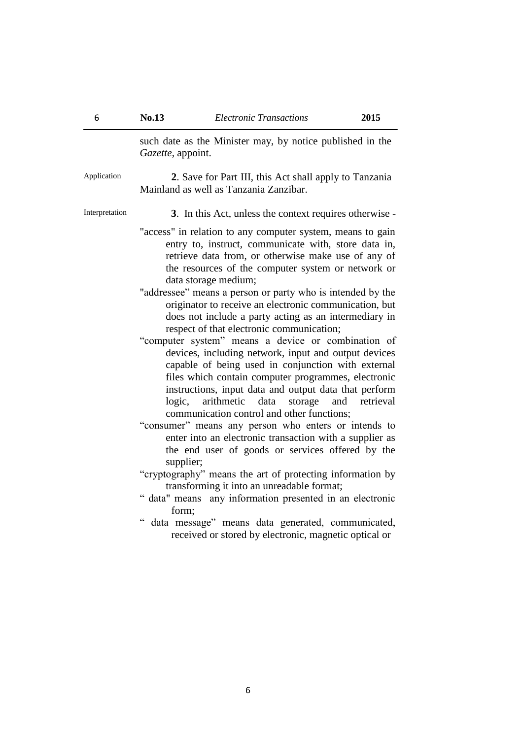such date as the Minister may, by notice published in the *Gazette*, appoint. Application **2**. Save for Part III, this Act shall apply to Tanzania Mainland as well as Tanzania Zanzibar. Interpretation **3**. In this Act, unless the context requires otherwise - "access" in relation to any computer system, means to gain entry to, instruct, communicate with, store data in, retrieve data from, or otherwise make use of any of the resources of the computer system or network or data storage medium; "addressee" means a person or party who is intended by the originator to receive an electronic communication, but does not include a party acting as an intermediary in respect of that electronic communication; "computer system" means a device or combination of devices, including network, input and output devices capable of being used in conjunction with external files which contain computer programmes, electronic instructions, input data and output data that perform logic, arithmetic data storage and retrieval communication control and other functions; "consumer" means any person who enters or intends to enter into an electronic transaction with a supplier as the end user of goods or services offered by the supplier; "cryptography" means the art of protecting information by transforming it into an unreadable format; " data" means any information presented in an electronic form; " data message" means data generated, communicated, received or stored by electronic, magnetic optical or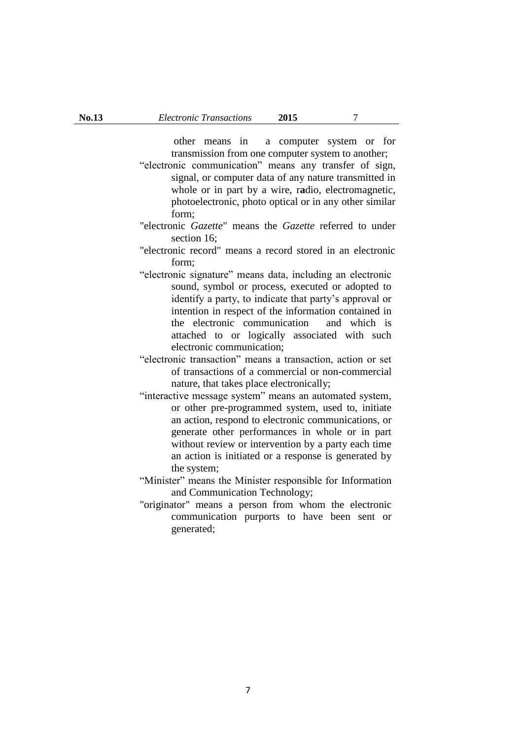other means in a computer system or for transmission from one computer system to another;

- "electronic communication" means any transfer of sign, signal, or computer data of any nature transmitted in whole or in part by a wire, r**a**dio, electromagnetic, photoelectronic, photo optical or in any other similar form;
- "electronic *Gazette*" means the *Gazette* referred to under section 16;
- "electronic record" means a record stored in an electronic form;
- "electronic signature" means data, including an electronic sound, symbol or process, executed or adopted to identify a party, to indicate that party's approval or intention in respect of the information contained in the electronic communication and which is attached to or logically associated with such electronic communication;
- "electronic transaction" means a transaction, action or set of transactions of a commercial or non-commercial nature, that takes place electronically;
- "interactive message system" means an automated system, or other pre-programmed system, used to, initiate an action, respond to electronic communications, or generate other performances in whole or in part without review or intervention by a party each time an action is initiated or a response is generated by the system;
- "Minister" means the Minister responsible for Information and Communication Technology;
- "originator" means a person from whom the electronic communication purports to have been sent or generated;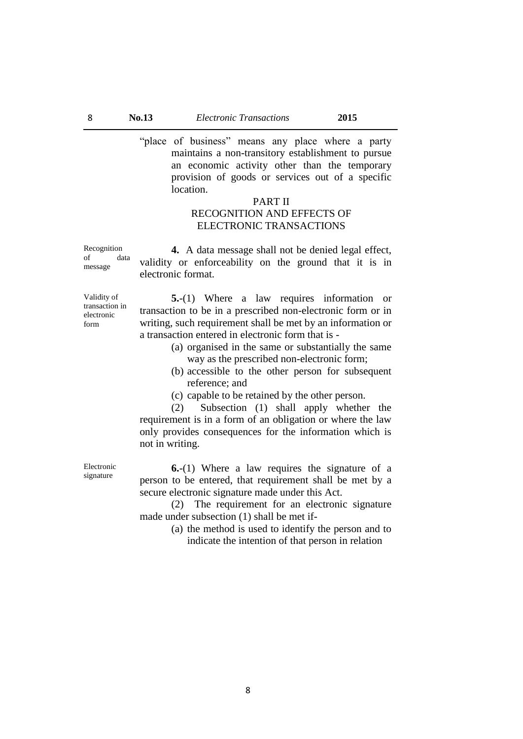"place of business" means any place where a party maintains a non-transitory establishment to pursue an economic activity other than the temporary provision of goods or services out of a specific location.

#### PART II

# RECOGNITION AND EFFECTS OF ELECTRONIC TRANSACTIONS

Recognition of data message

**4.** A data message shall not be denied legal effect, validity or enforceability on the ground that it is in electronic format.

Validity of transaction in electronic form

**5.**-(1) Where a law requires information or transaction to be in a prescribed non-electronic form or in writing, such requirement shall be met by an information or a transaction entered in electronic form that is -

- (a) organised in the same or substantially the same way as the prescribed non-electronic form;
- (b) accessible to the other person for subsequent reference; and
- (c) capable to be retained by the other person.

(2) Subsection (1) shall apply whether the requirement is in a form of an obligation or where the law only provides consequences for the information which is not in writing.

Electronic signature

**6.**-(1) Where a law requires the signature of a person to be entered, that requirement shall be met by a secure electronic signature made under this Act.

(2) The requirement for an electronic signature made under subsection (1) shall be met if-

> (a) the method is used to identify the person and to indicate the intention of that person in relation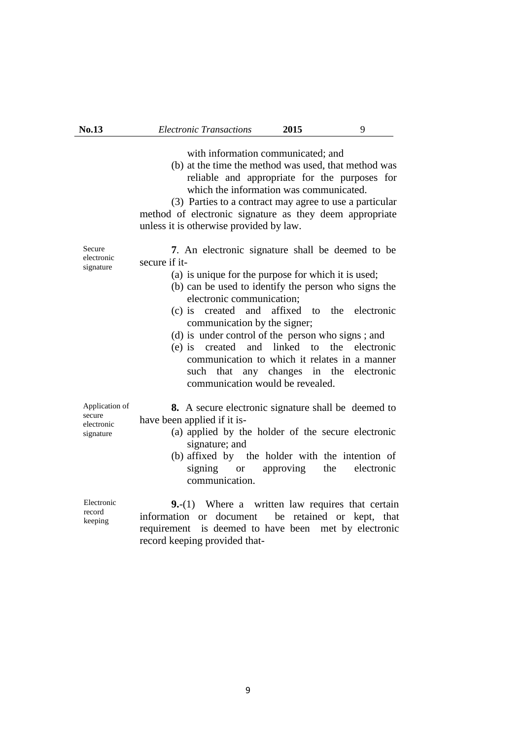with information communicated; and

(b) at the time the method was used, that method was reliable and appropriate for the purposes for which the information was communicated.

(3) Parties to a contract may agree to use a particular method of electronic signature as they deem appropriate unless it is otherwise provided by law.

Secure electronic signature **7**. An electronic signature shall be deemed to be secure if it-

- (a) is unique for the purpose for which it is used;
- (b) can be used to identify the person who signs the electronic communication;
- (c) is created and affixed to the electronic communication by the signer;
- (d) is under control of the person who signs ; and
- (e) is created and linked to the electronic communication to which it relates in a manner such that any changes in the electronic communication would be revealed.

Application of secure electronic **8.** A secure electronic signature shall be deemed to have been applied if it is-

- (a) applied by the holder of the secure electronic signature; and
- (b) affixed by the holder with the intention of signing or approving the electronic communication.

Electronic record keeping **9.**-(1) Where a written law requires that certain information or document be retained or kept, that requirement is deemed to have been met by electronic record keeping provided that-

signature

9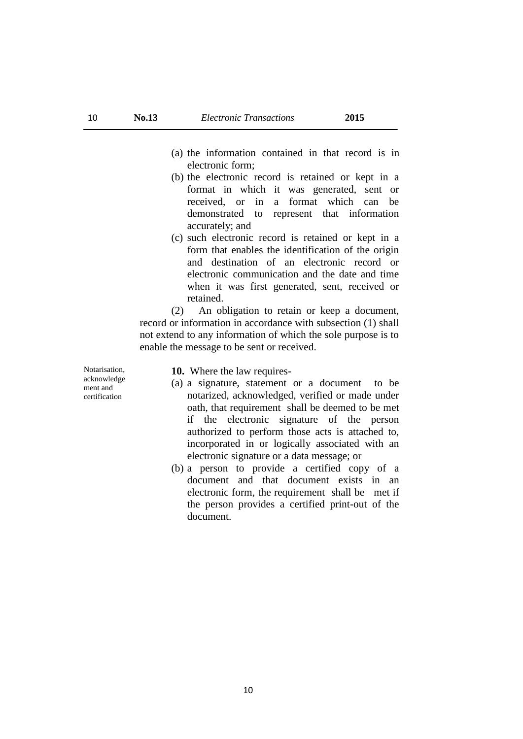- (a) the information contained in that record is in electronic form;
- (b) the electronic record is retained or kept in a format in which it was generated, sent or received, or in a format which can be demonstrated to represent that information accurately; and
- (c) such electronic record is retained or kept in a form that enables the identification of the origin and destination of an electronic record or electronic communication and the date and time when it was first generated, sent, received or retained.

(2) An obligation to retain or keep a document, record or information in accordance with subsection (1) shall not extend to any information of which the sole purpose is to enable the message to be sent or received.

Notarisation, acknowledge ment and certification

**10.** Where the law requires-

- (a) a signature, statement or a document to be notarized, acknowledged, verified or made under oath, that requirement shall be deemed to be met if the electronic signature of the person authorized to perform those acts is attached to, incorporated in or logically associated with an electronic signature or a data message; or
- (b) a person to provide a certified copy of a document and that document exists in an electronic form, the requirement shall be met if the person provides a certified print-out of the document.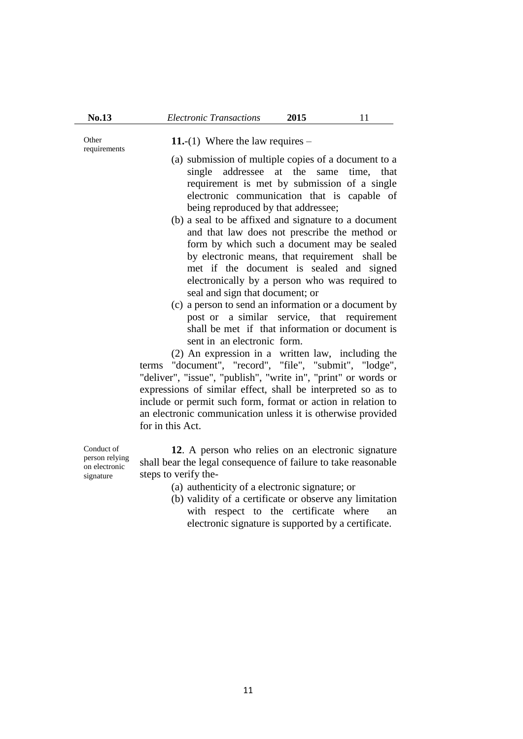**Other** requirements

**11.**-(1) Where the law requires –

- (a) submission of multiple copies of a document to a single addressee at the same time, that requirement is met by submission of a single electronic communication that is capable of being reproduced by that addressee;
- (b) a seal to be affixed and signature to a document and that law does not prescribe the method or form by which such a document may be sealed by electronic means, that requirement shall be met if the document is sealed and signed electronically by a person who was required to seal and sign that document; or
- (c) a person to send an information or a document by post or a similar service, that requirement shall be met if that information or document is sent in an electronic form.

(2) An expression in a written law, including the terms "document", "record", "file", "submit", "lodge", "deliver", "issue", "publish", "write in", "print" or words or expressions of similar effect, shall be interpreted so as to include or permit such form, format or action in relation to an electronic communication unless it is otherwise provided for in this Act.

Conduct of person relying on electronic signature

- **12**. A person who relies on an electronic signature shall bear the legal consequence of failure to take reasonable steps to verify the-
	- (a) authenticity of a electronic signature; or
	- (b) validity of a certificate or observe any limitation with respect to the certificate where an electronic signature is supported by a certificate.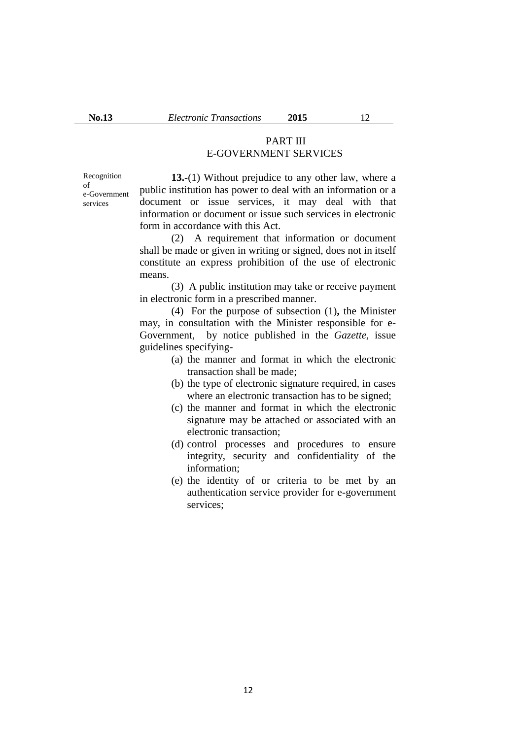# PART III E-GOVERNMENT SERVICES

Recognition of e-Government services

**13.-**(1) Without prejudice to any other law, where a public institution has power to deal with an information or a document or issue services, it may deal with that information or document or issue such services in electronic form in accordance with this Act.

(2) A requirement that information or document shall be made or given in writing or signed, does not in itself constitute an express prohibition of the use of electronic means.

(3) A public institution may take or receive payment in electronic form in a prescribed manner.

(4) For the purpose of subsection (1)**,** the Minister may, in consultation with the Minister responsible for e-Government, by notice published in the *Gazette,* issue guidelines specifying-

- (a) the manner and format in which the electronic transaction shall be made;
- (b) the type of electronic signature required, in cases where an electronic transaction has to be signed;
- (c) the manner and format in which the electronic signature may be attached or associated with an electronic transaction;
- (d) control processes and procedures to ensure integrity, security and confidentiality of the information;
- (e) the identity of or criteria to be met by an authentication service provider for e-government services;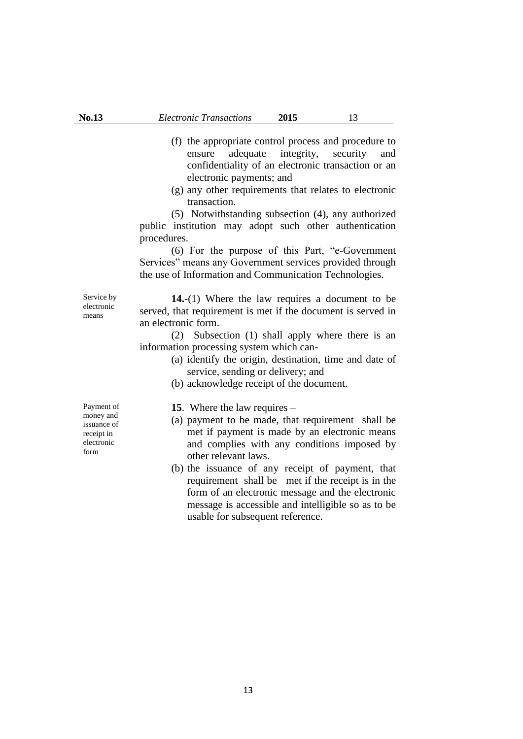- (f) the appropriate control process and procedure to ensure adequate integrity, security and confidentiality of an electronic transaction or an electronic payments; and
- (g) any other requirements that relates to electronic transaction.

(5) Notwithstanding subsection (4), any authorized public institution may adopt such other authentication procedures.

(6) For the purpose of this Part, "e-Government Services" means any Government services provided through the use of Information and Communication Technologies.

Service by electronic means

**14.**-(1) Where the law requires a document to be served, that requirement is met if the document is served in an electronic form.

(2) Subsection (1) shall apply where there is an information processing system which can-

- (a) identify the origin, destination, time and date of service, sending or delivery; and
- (b) acknowledge receipt of the document.

Payment of money and issuance of receipt in electronic form

**15**. Where the law requires –

- (a) payment to be made, that requirement shall be met if payment is made by an electronic means and complies with any conditions imposed by other relevant laws.
- (b) the issuance of any receipt of payment, that requirement shall be met if the receipt is in the form of an electronic message and the electronic message is accessible and intelligible so as to be usable for subsequent reference.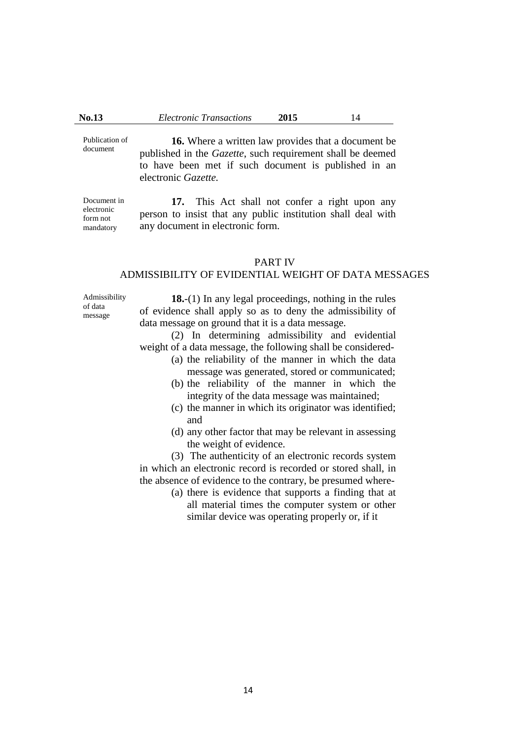Publication of document **16.** Where a written law provides that a document be published in the *Gazette*, such requirement shall be deemed to have been met if such document is published in an electronic *Gazette.* 

Document in electronic form not mandatory

**17.** This Act shall not confer a right upon any person to insist that any public institution shall deal with any document in electronic form.

#### PART IV

### ADMISSIBILITY OF EVIDENTIAL WEIGHT OF DATA MESSAGES

Admissibility of data message

**18.**-(1) In any legal proceedings, nothing in the rules of evidence shall apply so as to deny the admissibility of data message on ground that it is a data message.

(2) In determining admissibility and evidential weight of a data message, the following shall be considered-

- (a) the reliability of the manner in which the data message was generated, stored or communicated;
- (b) the reliability of the manner in which the integrity of the data message was maintained;
- (c) the manner in which its originator was identified; and
- (d) any other factor that may be relevant in assessing the weight of evidence.

(3) The authenticity of an electronic records system in which an electronic record is recorded or stored shall, in the absence of evidence to the contrary, be presumed where-

(a) there is evidence that supports a finding that at all material times the computer system or other similar device was operating properly or, if it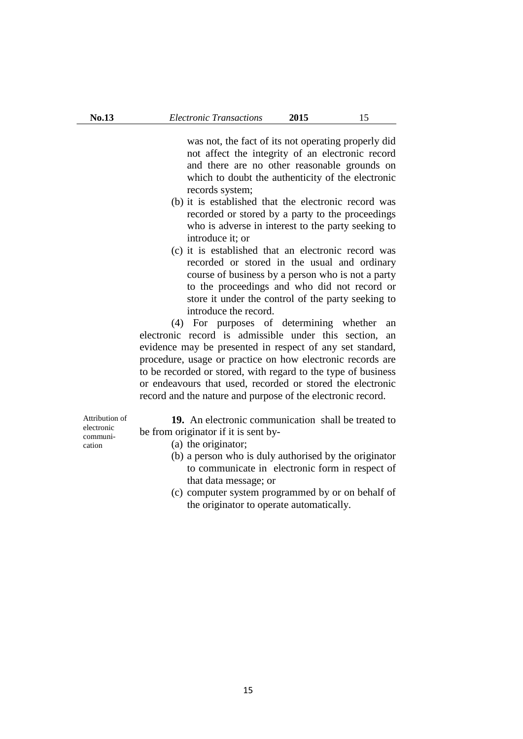was not, the fact of its not operating properly did not affect the integrity of an electronic record and there are no other reasonable grounds on which to doubt the authenticity of the electronic records system;

- (b) it is established that the electronic record was recorded or stored by a party to the proceedings who is adverse in interest to the party seeking to introduce it; or
- (c) it is established that an electronic record was recorded or stored in the usual and ordinary course of business by a person who is not a party to the proceedings and who did not record or store it under the control of the party seeking to introduce the record.

(4) For purposes of determining whether an electronic record is admissible under this section, an evidence may be presented in respect of any set standard, procedure, usage or practice on how electronic records are to be recorded or stored, with regard to the type of business or endeavours that used, recorded or stored the electronic record and the nature and purpose of the electronic record.

Attribution of electronic communication

**19.** An electronic communication shall be treated to be from originator if it is sent by-

- (a) the originator;
- (b) a person who is duly authorised by the originator to communicate in electronic form in respect of that data message; or
- (c) computer system programmed by or on behalf of the originator to operate automatically.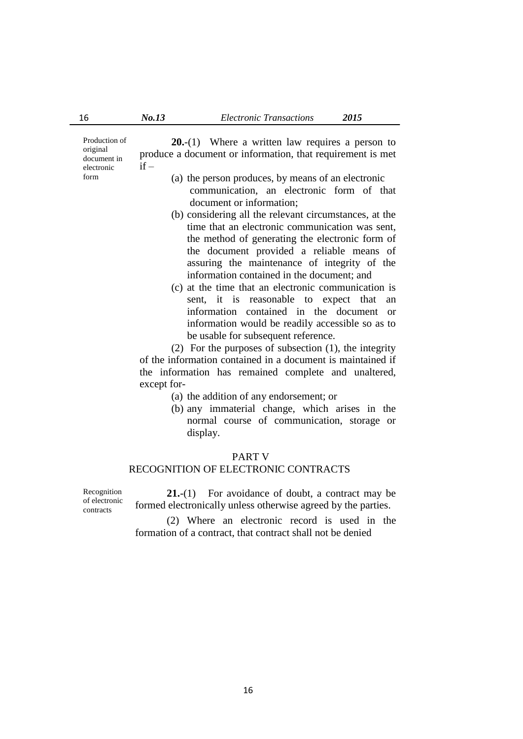Production of original document in electronic form

**20.**-(1) Where a written law requires a person to produce a document or information, that requirement is met  $if -$ 

- (a) the person produces, by means of an electronic communication, an electronic form of that document or information;
- (b) considering all the relevant circumstances, at the time that an electronic communication was sent, the method of generating the electronic form of the document provided a reliable means of assuring the maintenance of integrity of the information contained in the document; and
- (c) at the time that an electronic communication is sent, it is reasonable to expect that an information contained in the document or information would be readily accessible so as to be usable for subsequent reference.

(2) For the purposes of subsection (1), the integrity of the information contained in a document is maintained if the information has remained complete and unaltered, except for-

- (a) the addition of any endorsement; or
- (b) any immaterial change, which arises in the normal course of communication, storage or display.

#### PART V

### RECOGNITION OF ELECTRONIC CONTRACTS

Recognition of electronic contracts

**21.**-(1) For avoidance of doubt, a contract may be formed electronically unless otherwise agreed by the parties.

(2) Where an electronic record is used in the formation of a contract, that contract shall not be denied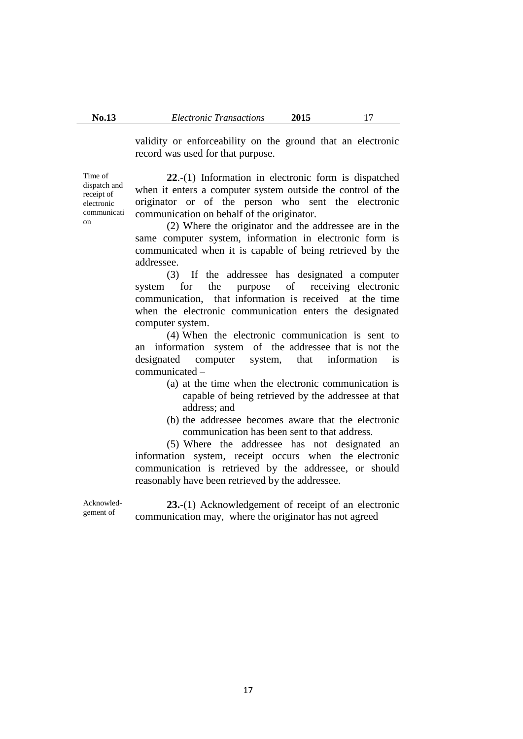validity or enforceability on the ground that an electronic record was used for that purpose.

Time of dispatch and receipt of electronic communicati on

**22**.-(1) Information in electronic form is dispatched when it enters a computer system outside the control of the originator or of the person who sent the electronic communication on behalf of the originator.

(2) Where the originator and the addressee are in the same computer system, information in electronic form is communicated when it is capable of being retrieved by the addressee.

(3) If the addressee has designated a computer system for the purpose of receiving electronic communication, that information is received at the time when the electronic communication enters the designated computer system.

(4) When the electronic communication is sent to an information system of the addressee that is not the designated computer system, that information is communicated –

- (a) at the time when the electronic communication is capable of being retrieved by the addressee at that address; and
- (b) the addressee becomes aware that the electronic communication has been sent to that address.

(5) Where the addressee has not designated an information system, receipt occurs when the electronic communication is retrieved by the addressee, or should reasonably have been retrieved by the addressee.

Acknowledgement of

**23.**-(1) Acknowledgement of receipt of an electronic communication may, where the originator has not agreed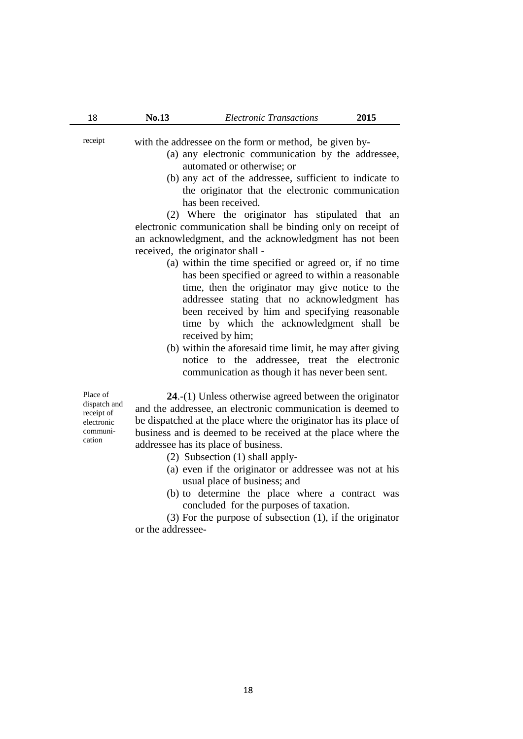receipt with the addressee on the form or method, be given by-

- (a) any electronic communication by the addressee, automated or otherwise; or
- (b) any act of the addressee, sufficient to indicate to the originator that the electronic communication has been received.

(2) Where the originator has stipulated that an electronic communication shall be binding only on receipt of an acknowledgment, and the acknowledgment has not been received, the originator shall -

- (a) within the time specified or agreed or, if no time has been specified or agreed to within a reasonable time, then the originator may give notice to the addressee stating that no acknowledgment has been received by him and specifying reasonable time by which the acknowledgment shall be received by him;
- (b) within the aforesaid time limit, he may after giving notice to the addressee, treat the electronic communication as though it has never been sent.

Place of dispatch and receipt of electronic communication

**24**.-(1) Unless otherwise agreed between the originator and the addressee, an electronic communication is deemed to be dispatched at the place where the originator has its place of business and is deemed to be received at the place where the addressee has its place of business.

- (2) Subsection (1) shall apply-
- (a) even if the originator or addressee was not at his usual place of business; and
- (b) to determine the place where a contract was concluded for the purposes of taxation.

(3) For the purpose of subsection (1), if the originator or the addressee-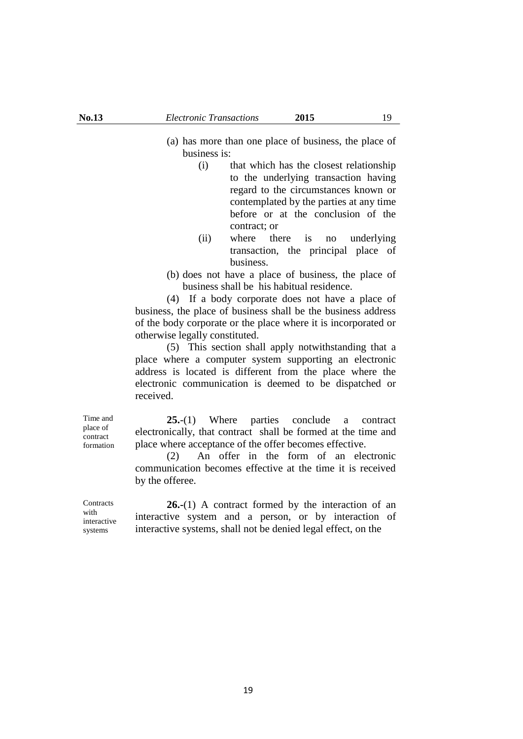- (a) has more than one place of business, the place of business is:
	- (i) that which has the closest relationship to the underlying transaction having regard to the circumstances known or contemplated by the parties at any time before or at the conclusion of the contract; or
	- (ii) where there is no underlying transaction, the principal place of business.
- (b) does not have a place of business, the place of business shall be his habitual residence.

(4) If a body corporate does not have a place of business, the place of business shall be the business address of the body corporate or the place where it is incorporated or otherwise legally constituted.

(5) This section shall apply notwithstanding that a place where a computer system supporting an electronic address is located is different from the place where the electronic communication is deemed to be dispatched or received.

**25.**-(1) Where parties conclude a contract electronically, that contract shall be formed at the time and place where acceptance of the offer becomes effective.

(2) An offer in the form of an electronic communication becomes effective at the time it is received by the offeree.

**26.-**(1) A contract formed by the interaction of an interactive system and a person, or by interaction of interactive systems, shall not be denied legal effect, on the

Time and place of contract formation

**Contracts** with interactive

systems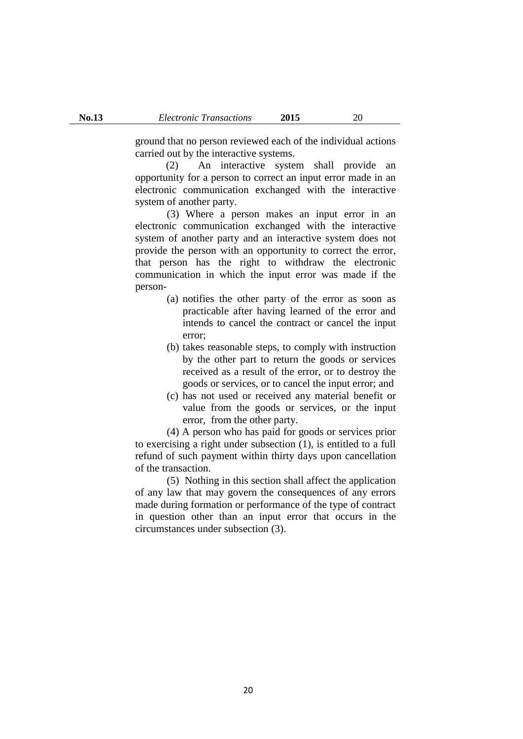ground that no person reviewed each of the individual actions carried out by the interactive systems.

(2) An interactive system shall provide an opportunity for a person to correct an input error made in an electronic communication exchanged with the interactive system of another party.

(3) Where a person makes an input error in an electronic communication exchanged with the interactive system of another party and an interactive system does not provide the person with an opportunity to correct the error, that person has the right to withdraw the electronic communication in which the input error was made if the person-

- (a) notifies the other party of the error as soon as practicable after having learned of the error and intends to cancel the contract or cancel the input error;
- (b) takes reasonable steps, to comply with instruction by the other part to return the goods or services received as a result of the error, or to destroy the goods or services, or to cancel the input error; and
- (c) has not used or received any material benefit or value from the goods or services, or the input error, from the other party.

(4) A person who has paid for goods or services prior to exercising a right under subsection (1), is entitled to a full refund of such payment within thirty days upon cancellation of the transaction.

(5) Nothing in this section shall affect the application of any law that may govern the consequences of any errors made during formation or performance of the type of contract in question other than an input error that occurs in the circumstances under subsection (3).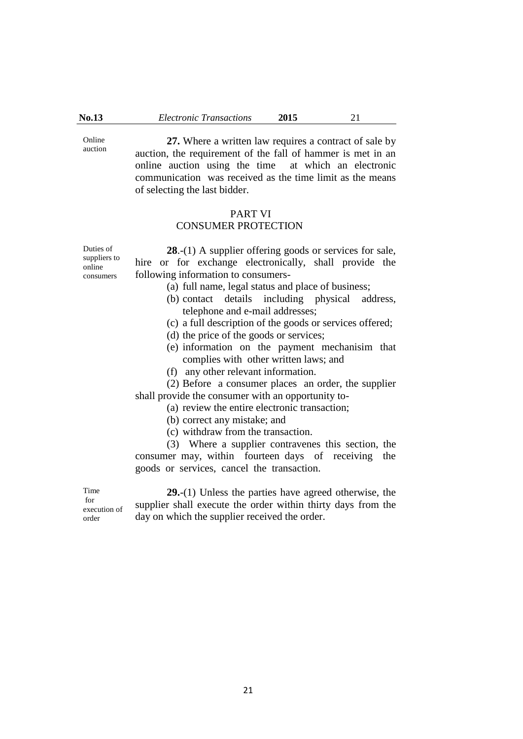Online auction

**27.** Where a written law requires a contract of sale by auction, the requirement of the fall of hammer is met in an online auction using the time at which an electronic communication was received as the time limit as the means of selecting the last bidder.

#### PART VI

# CONSUMER PROTECTION

Duties of suppliers to online consumers

**28**.-(1) A supplier offering goods or services for sale, hire or for exchange electronically, shall provide the following information to consumers-

- (a) full name, legal status and place of business;
- (b) contact details including physical address, telephone and e-mail addresses;
- (c) a full description of the goods or services offered;
- (d) the price of the goods or services;
- (e) information on the payment mechanisim that complies with other written laws; and
- (f) any other relevant information.

(2) Before a consumer places an order, the supplier shall provide the consumer with an opportunity to-

(a) review the entire electronic transaction;

- (b) correct any mistake; and
- (c) withdraw from the transaction.

(3) Where a supplier contravenes this section, the consumer may, within fourteen days of receiving the goods or services, cancel the transaction.

Time for

execution of order

**29.**-(1) Unless the parties have agreed otherwise, the supplier shall execute the order within thirty days from the day on which the supplier received the order.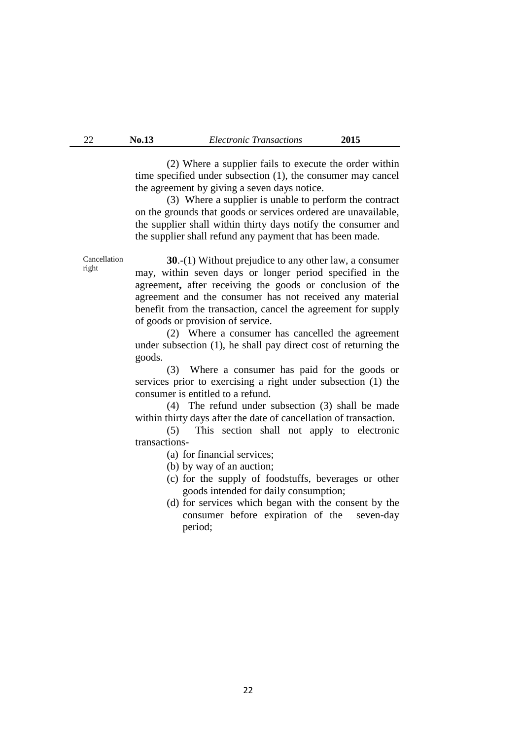(2) Where a supplier fails to execute the order within time specified under subsection (1), the consumer may cancel the agreement by giving a seven days notice.

(3) Where a supplier is unable to perform the contract on the grounds that goods or services ordered are unavailable, the supplier shall within thirty days notify the consumer and the supplier shall refund any payment that has been made.

**30**.-(1) Without prejudice to any other law, a consumer may, within seven days or longer period specified in the agreement**,** after receiving the goods or conclusion of the agreement and the consumer has not received any material benefit from the transaction, cancel the agreement for supply of goods or provision of service.

(2) Where a consumer has cancelled the agreement under subsection (1), he shall pay direct cost of returning the goods.

(3) Where a consumer has paid for the goods or services prior to exercising a right under subsection (1) the consumer is entitled to a refund.

(4) The refund under subsection (3) shall be made within thirty days after the date of cancellation of transaction.

(5) This section shall not apply to electronic transactions-

- (a) for financial services;
- (b) by way of an auction;
- (c) for the supply of foodstuffs, beverages or other goods intended for daily consumption;
- (d) for services which began with the consent by the consumer before expiration of the seven-day period;

Cancellation right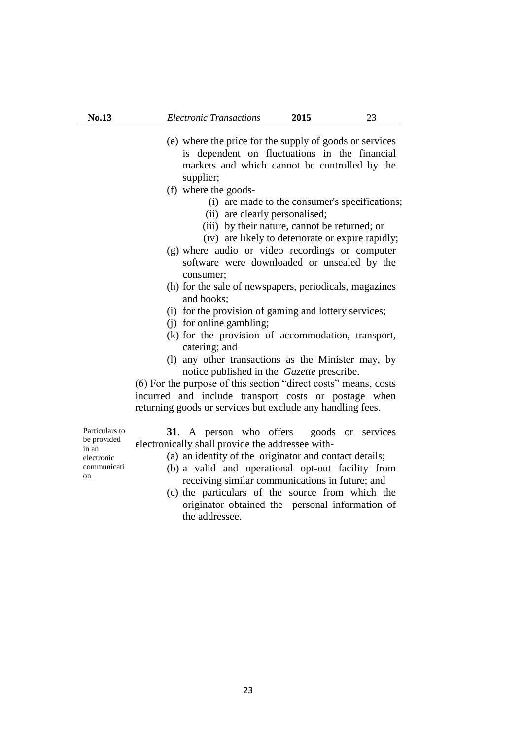- (e) where the price for the supply of goods or services is dependent on fluctuations in the financial markets and which cannot be controlled by the supplier;
- (f) where the goods-
	- (i) are made to the consumer's specifications;
	- (ii) are clearly personalised;
	- (iii) by their nature, cannot be returned; or
	- (iv) are likely to deteriorate or expire rapidly;
- (g) where audio or video recordings or computer software were downloaded or unsealed by the consumer;
- (h) for the sale of newspapers, periodicals, magazines and books;
- (i) for the provision of gaming and lottery services;
- (j) for online gambling;
- (k) for the provision of accommodation, transport, catering; and
- (l) any other transactions as the Minister may, by notice published in the *Gazette* prescribe.

(6) For the purpose of this section "direct costs" means, costs incurred and include transport costs or postage when returning goods or services but exclude any handling fees.

**31**. A person who offers goods or services electronically shall provide the addressee with-

- (a) an identity of the originator and contact details;
- (b) a valid and operational opt-out facility from receiving similar communications in future; and
- (c) the particulars of the source from which the originator obtained the personal information of the addressee.

Particulars to be provided in an electronic communicati on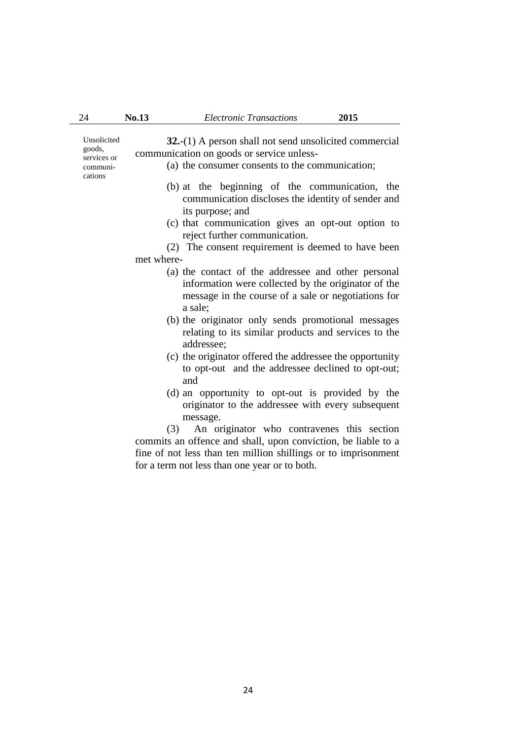| Unsolicited<br>goods,<br>services or<br>communi-<br>cations | $32-(1)$ A person shall not send unsolicited commercial<br>communication on goods or service unless-<br>(a) the consumer consents to the communication;                      |
|-------------------------------------------------------------|------------------------------------------------------------------------------------------------------------------------------------------------------------------------------|
|                                                             | (b) at the beginning of the communication, the<br>communication discloses the identity of sender and<br>its purpose; and                                                     |
|                                                             | (c) that communication gives an opt-out option to                                                                                                                            |
|                                                             | reject further communication.                                                                                                                                                |
|                                                             | (2) The consent requirement is deemed to have been                                                                                                                           |
|                                                             | met where-                                                                                                                                                                   |
|                                                             | (a) the contact of the addressee and other personal<br>information were collected by the originator of the<br>message in the course of a sale or negotiations for<br>a sale; |
|                                                             | (b) the originator only sends promotional messages<br>relating to its similar products and services to the                                                                   |

24 **No.13** *Electronic Transactions* **2015** 

- relating to its similar products and services to the addressee; (c) the originator offered the addressee the opportunity to opt-out and the addressee declined to opt-out;
- and (d) an opportunity to opt-out is provided by the
- originator to the addressee with every subsequent message.

(3) An originator who contravenes this section commits an offence and shall, upon conviction, be liable to a fine of not less than ten million shillings or to imprisonment for a term not less than one year or to both.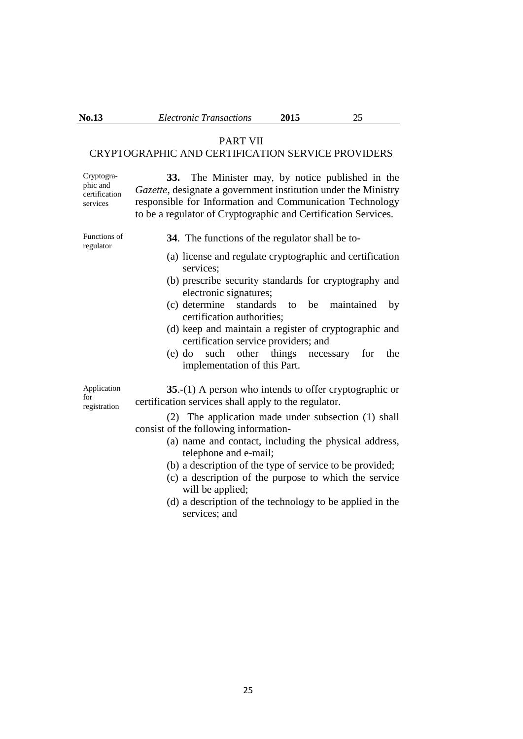# PART VII

# CRYPTOGRAPHIC AND CERTIFICATION SERVICE PROVIDERS

Cryptographic and certification services

**33.** The Minister may, by notice published in the *Gazette*, designate a government institution under the Ministry responsible for Information and Communication Technology to be a regulator of Cryptographic and Certification Services.

Functions of regulator

- **34**. The functions of the regulator shall be to-
- (a) license and regulate cryptographic and certification services;
- (b) prescribe security standards for cryptography and electronic signatures;
- (c) determine standards to be maintained by certification authorities;
- (d) keep and maintain a register of cryptographic and certification service providers; and
- (e) do such other things necessary for the implementation of this Part.

Application for registration

**35**.-(1) A person who intends to offer cryptographic or certification services shall apply to the regulator.

- (2) The application made under subsection (1) shall consist of the following information-
	- (a) name and contact, including the physical address, telephone and e-mail;
	- (b) a description of the type of service to be provided;
	- (c) a description of the purpose to which the service will be applied;
	- (d) a description of the technology to be applied in the services; and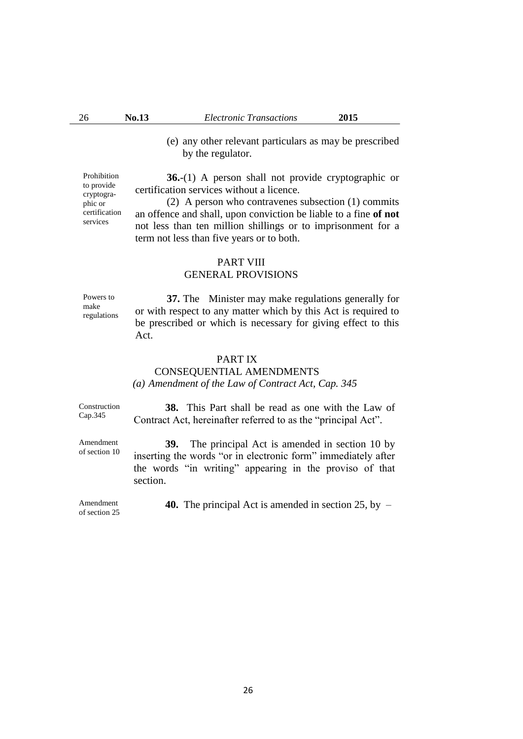(e) any other relevant particulars as may be prescribed by the regulator.

**36.**-(1) A person shall not provide cryptographic or certification services without a licence.

(2) A person who contravenes subsection (1) commits an offence and shall, upon conviction be liable to a fine **of not**  not less than ten million shillings or to imprisonment for a term not less than five years or to both.

#### PART VIII

### GENERAL PROVISIONS

Powers to make regulations

**37.** The Minister may make regulations generally for or with respect to any matter which by this Act is required to be prescribed or which is necessary for giving effect to this Act.

#### PART IX

### CONSEQUENTIAL AMENDMENTS *(a) Amendment of the Law of Contract Act, Cap. 345*

Construction Cap.345

Amendment of section 10

**38.** This Part shall be read as one with the Law of Contract Act, hereinafter referred to as the "principal Act".

**39.** The principal Act is amended in section 10 by inserting the words "or in electronic form" immediately after the words "in writing" appearing in the proviso of that section.

**40.** The principal Act is amended in section 25, by –

26

Amendment of section 25

Prohibition to provide cryptographic or certification services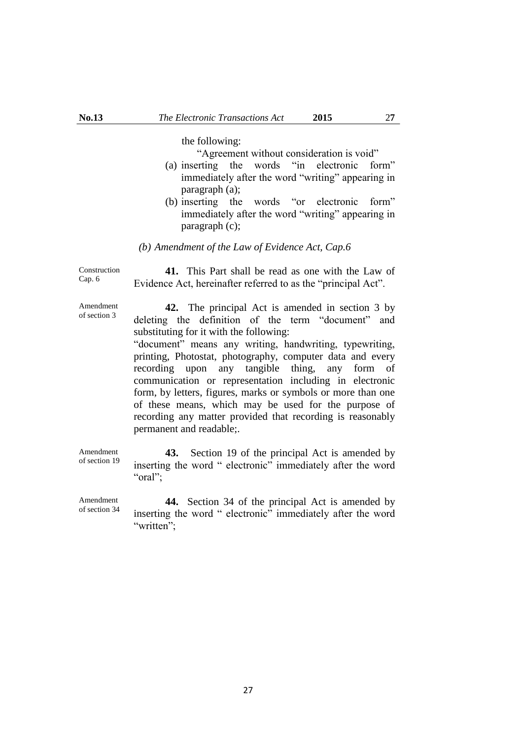the following:

"Agreement without consideration is void"

- (a) inserting the words "in electronic form" immediately after the word "writing" appearing in paragraph (a);
- (b) inserting the words "or electronic form" immediately after the word "writing" appearing in paragraph (c);

#### *(b) Amendment of the Law of Evidence Act, Cap.6*

Construction Cap. 6

**41.** This Part shall be read as one with the Law of Evidence Act, hereinafter referred to as the "principal Act".

Amendment of section 3

**42.** The principal Act is amended in section 3 by deleting the definition of the term "document" and substituting for it with the following:

"document" means any writing, handwriting, typewriting, printing, Photostat, photography, computer data and every recording upon any tangible thing, any form of communication or representation including in electronic form, by letters, figures, marks or symbols or more than one of these means, which may be used for the purpose of recording any matter provided that recording is reasonably permanent and readable;.

Amendment of section 19 **43.** Section 19 of the principal Act is amended by inserting the word " electronic" immediately after the word "oral":

Amendment of section 34 **44.** Section 34 of the principal Act is amended by inserting the word " electronic" immediately after the word "written":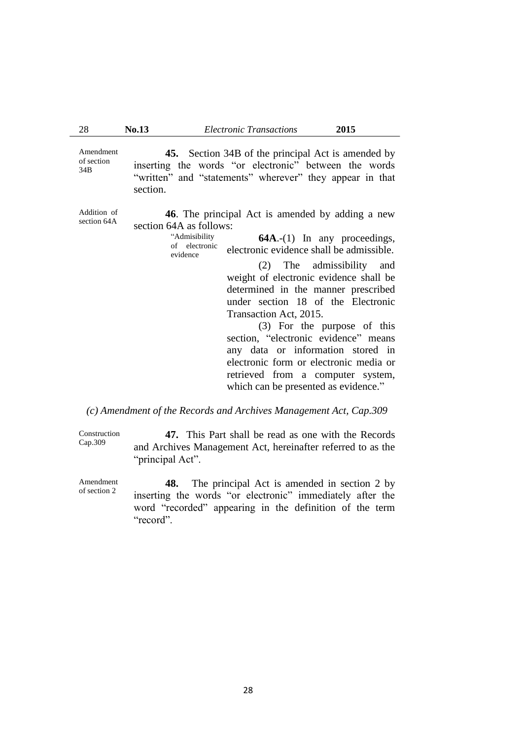Amendment of section 34B

Addition of section 64A

**45.** Section 34B of the principal Act is amended by inserting the words "or electronic" between the words "written" and "statements" wherever" they appear in that section.

**46**. The principal Act is amended by adding a new section 64A as follows:

> "Admisibility of electronic evidence **64A**.-(1) In any proceedings, electronic evidence shall be admissible.

> > (2) The admissibility and weight of electronic evidence shall be determined in the manner prescribed under section 18 of the Electronic Transaction Act, 2015.

> > (3) For the purpose of this section, "electronic evidence" means any data or information stored in electronic form or electronic media or retrieved from a computer system, which can be presented as evidence."

### *(c) Amendment of the Records and Archives Management Act, Cap.309*

Construction Cap.309 **47.** This Part shall be read as one with the Records and Archives Management Act, hereinafter referred to as the "principal Act".

Amendment of section 2 **48.** The principal Act is amended in section 2 by inserting the words "or electronic" immediately after the word "recorded" appearing in the definition of the term "record".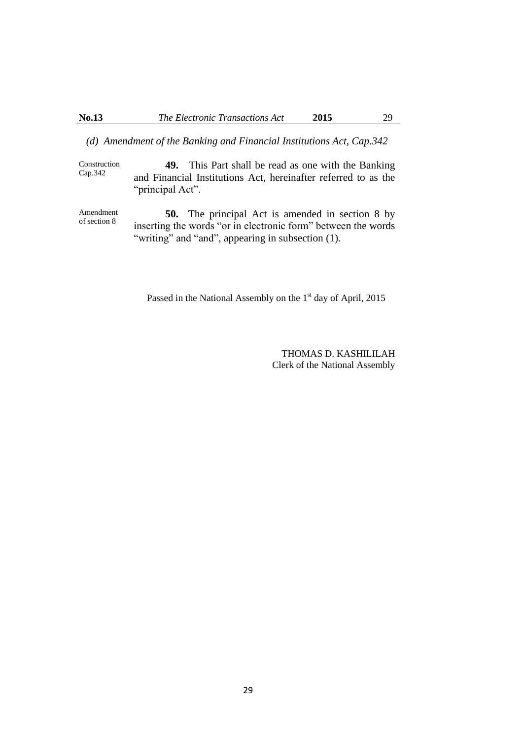Cap.342

### *(d) Amendment of the Banking and Financial Institutions Act, Cap.342*

Construction **49.** This Part shall be read as one with the Banking and Financial Institutions Act, hereinafter referred to as the "principal Act".

Amendment of section 8 **50.** The principal Act is amended in section 8 by inserting the words "or in electronic form" between the words "writing" and "and", appearing in subsection (1).

Passed in the National Assembly on the 1<sup>st</sup> day of April, 2015

THOMAS D. KASHILILAH Clerk of the National Assembly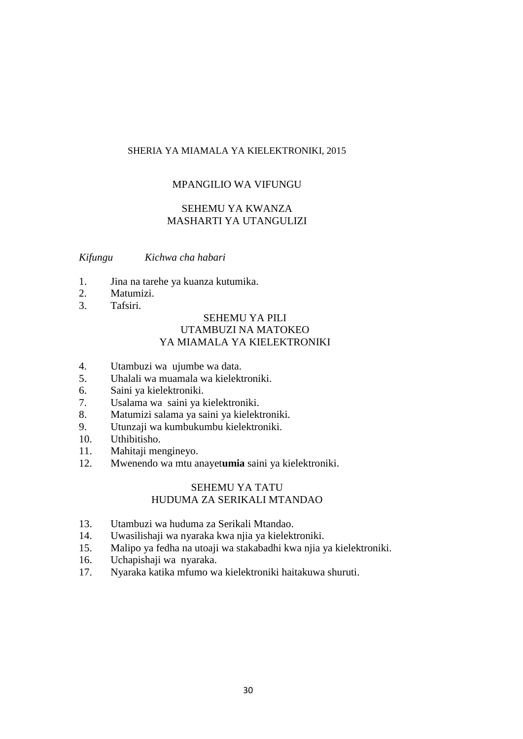### SHERIA YA MIAMALA YA KIELEKTRONIKI, 2015

### MPANGILIO WA VIFUNGU

# SEHEMU YA KWANZA MASHARTI YA UTANGULIZI

*Kifungu Kichwa cha habari*

- 1. Jina na tarehe ya kuanza kutumika.
- 2. Matumizi.
- 3. Tafsiri.

# SEHEMU YA PILI UTAMBUZI NA MATOKEO YA MIAMALA YA KIELEKTRONIKI

- 4. Utambuzi wa ujumbe wa data.
- 5. Uhalali wa muamala wa kielektroniki.
- 6. Saini ya kielektroniki.
- 7. Usalama wa saini ya kielektroniki.
- 8. Matumizi salama ya saini ya kielektroniki.
- 9. Utunzaji wa kumbukumbu kielektroniki.
- 10. Uthibitisho.
- 11. Mahitaji mengineyo.
- 12. Mwenendo wa mtu anayet**umia** saini ya kielektroniki.

#### SEHEMU YA TATU HUDUMA ZA SERIKALI MTANDAO

- 13. Utambuzi wa huduma za Serikali Mtandao.
- 14. Uwasilishaji wa nyaraka kwa njia ya kielektroniki.
- 15. Malipo ya fedha na utoaji wa stakabadhi kwa njia ya kielektroniki.
- 16. Uchapishaji wa nyaraka.
- 17. Nyaraka katika mfumo wa kielektroniki haitakuwa shuruti.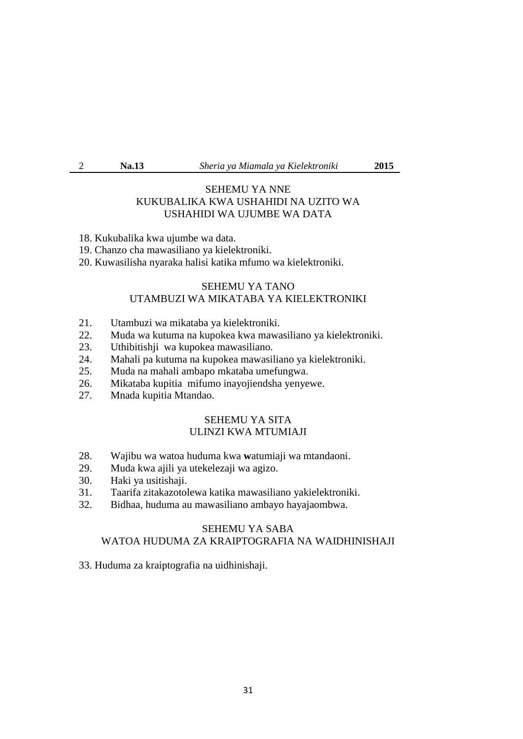2 **Na.13** *Sheria ya Miamala ya Kielektroniki* **2015** 

### SEHEMU YA NNE KUKUBALIKA KWA USHAHIDI NA UZITO WA USHAHIDI WA UJUMBE WA DATA

- 18. Kukubalika kwa ujumbe wa data.
- 19. Chanzo cha mawasiliano ya kielektroniki.
- 20. Kuwasilisha nyaraka halisi katika mfumo wa kielektroniki.

# SEHEMU YA TANO UTAMBUZI WA MIKATABA YA KIELEKTRONIKI

- 21. Utambuzi wa mikataba ya kielektroniki.<br>22. Muda wa kutuma na kupokea kwa mawa
- 22. Muda wa kutuma na kupokea kwa mawasiliano ya kielektroniki.
- 23. Uthibitishji wa kupokea mawasiliano.
- 24. Mahali pa kutuma na kupokea mawasiliano ya kielektroniki.
- 25. Muda na mahali ambapo mkataba umefungwa.
- 26. Mikataba kupitia mifumo inayojiendsha yenyewe.
- 27. Mnada kupitia Mtandao.

### SEHEMU YA SITA ULINZI KWA MTUMIAJI

- 28. Wajibu wa watoa huduma kwa **w**atumiaji wa mtandaoni.
- 29. Muda kwa ajili ya utekelezaji wa agizo.
- 30. Haki ya usitishaji.
- 31. Taarifa zitakazotolewa katika mawasiliano yakielektroniki.
- 32. Bidhaa, huduma au mawasiliano ambayo hayajaombwa.

# SEHEMU YA SABA WATOA HUDUMA ZA KRAIPTOGRAFIA NA WAIDHINISHAJI

33. Huduma za kraiptografia na uidhinishaji.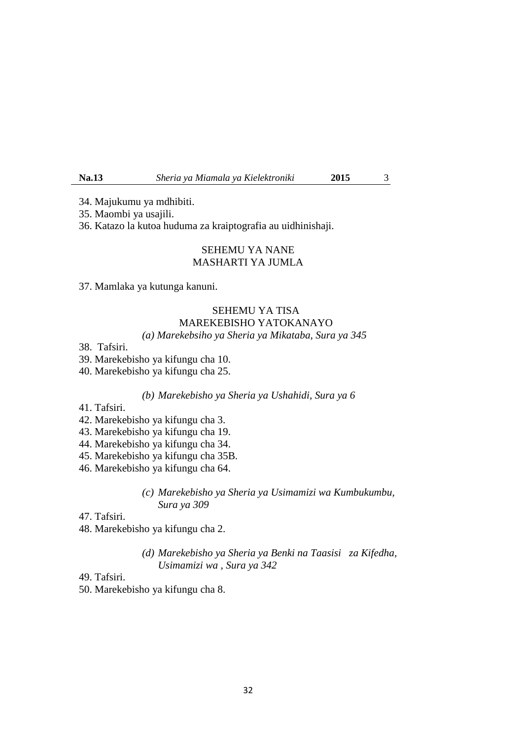**Na.13** *Sheria ya Miamala ya Kielektroniki* **2015** 3

34. Majukumu ya mdhibiti.

35. Maombi ya usajili.

36. Katazo la kutoa huduma za kraiptografia au uidhinishaji.

# SEHEMU YA NANE MASHARTI YA JUMLA

37. Mamlaka ya kutunga kanuni.

# SEHEMU YA TISA MAREKEBISHO YATOKANAYO

# *(a) Marekebsiho ya Sheria ya Mikataba, Sura ya 345*

38. Tafsiri.

39. Marekebisho ya kifungu cha 10.

40. Marekebisho ya kifungu cha 25.

#### *(b) Marekebisho ya Sheria ya Ushahidi, Sura ya 6*

- 41. Tafsiri.
- 42. Marekebisho ya kifungu cha 3.
- 43. Marekebisho ya kifungu cha 19.
- 44. Marekebisho ya kifungu cha 34.
- 45. Marekebisho ya kifungu cha 35B.
- 46. Marekebisho ya kifungu cha 64.

### *(c) Marekebisho ya Sheria ya Usimamizi wa Kumbukumbu, Sura ya 309*

#### 47. Tafsiri.

48. Marekebisho ya kifungu cha 2.

### *(d) Marekebisho ya Sheria ya Benki na Taasisi za Kifedha, Usimamizi wa , Sura ya 342*

### 49. Tafsiri.

50. Marekebisho ya kifungu cha 8.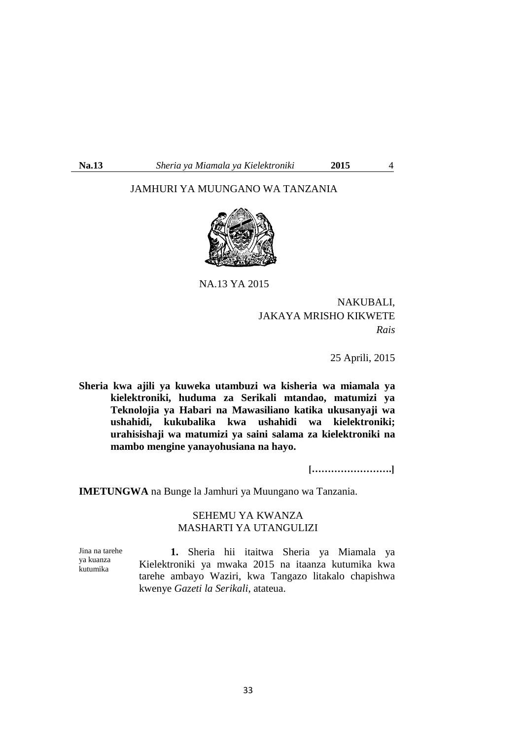# JAMHURI YA MUUNGANO WA TANZANIA



NA.13 YA 2015

NAKUBALI, JAKAYA MRISHO KIKWETE *Rais*

25 Aprili, 2015

**Sheria kwa ajili ya kuweka utambuzi wa kisheria wa miamala ya kielektroniki, huduma za Serikali mtandao, matumizi ya Teknolojia ya Habari na Mawasiliano katika ukusanyaji wa ushahidi, kukubalika kwa ushahidi wa kielektroniki; urahisishaji wa matumizi ya saini salama za kielektroniki na mambo mengine yanayohusiana na hayo.**

 **[…………………….]**

**IMETUNGWA** na Bunge la Jamhuri ya Muungano wa Tanzania.

### SEHEMU YA KWANZA MASHARTI YA UTANGULIZI

Jina na tarehe ya kuanza kutumika **1.** Sheria hii itaitwa Sheria ya Miamala ya Kielektroniki ya mwaka 2015 na itaanza kutumika kwa tarehe ambayo Waziri, kwa Tangazo litakalo chapishwa kwenye *Gazeti la Serikali*, atateua.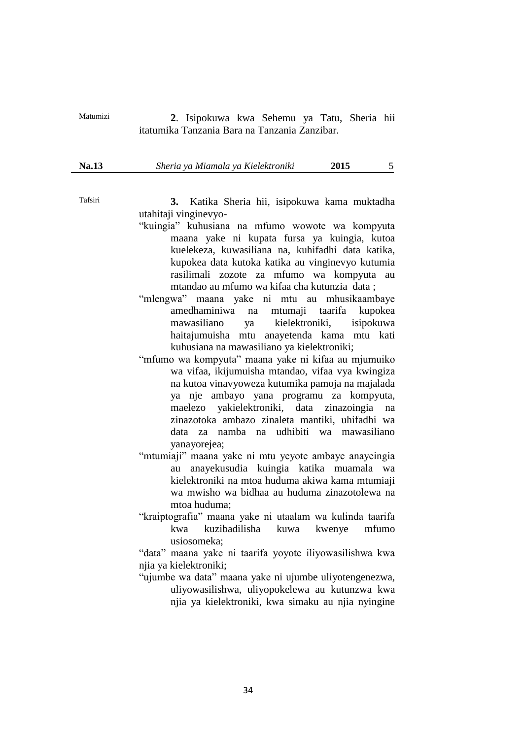Matumizi **2**. Isipokuwa kwa Sehemu ya Tatu, Sheria hii itatumika Tanzania Bara na Tanzania Zanzibar.

**Na.13** *Sheria ya Miamala ya Kielektroniki* **2015** 5

Tafsiri **3.** Katika Sheria hii, isipokuwa kama muktadha utahitaji vinginevyo-

- "kuingia" kuhusiana na mfumo wowote wa kompyuta maana yake ni kupata fursa ya kuingia, kutoa kuelekeza, kuwasiliana na, kuhifadhi data katika, kupokea data kutoka katika au vinginevyo kutumia rasilimali zozote za mfumo wa kompyuta au mtandao au mfumo wa kifaa cha kutunzia data ;
- "mlengwa" maana yake ni mtu au mhusikaambaye amedhaminiwa na mtumaji taarifa kupokea mawasiliano ya kielektroniki, isipokuwa haitajumuisha mtu anayetenda kama mtu kati kuhusiana na mawasiliano ya kielektroniki;
- "mfumo wa kompyuta" maana yake ni kifaa au mjumuiko wa vifaa, ikijumuisha mtandao, vifaa vya kwingiza na kutoa vinavyoweza kutumika pamoja na majalada ya nje ambayo yana programu za kompyuta, maelezo yakielektroniki, data zinazoingia na zinazotoka ambazo zinaleta mantiki, uhifadhi wa data za namba na udhibiti wa mawasiliano yanayorejea;
- "mtumiaji" maana yake ni mtu yeyote ambaye anayeingia au anayekusudia kuingia katika muamala wa kielektroniki na mtoa huduma akiwa kama mtumiaji wa mwisho wa bidhaa au huduma zinazotolewa na mtoa huduma;
- "kraiptografia" maana yake ni utaalam wa kulinda taarifa kwa kuzibadilisha kuwa kwenye mfumo usiosomeka;

"data" maana yake ni taarifa yoyote iliyowasilishwa kwa njia ya kielektroniki;

"ujumbe wa data" maana yake ni ujumbe uliyotengenezwa, uliyowasilishwa, uliyopokelewa au kutunzwa kwa njia ya kielektroniki, kwa simaku au njia nyingine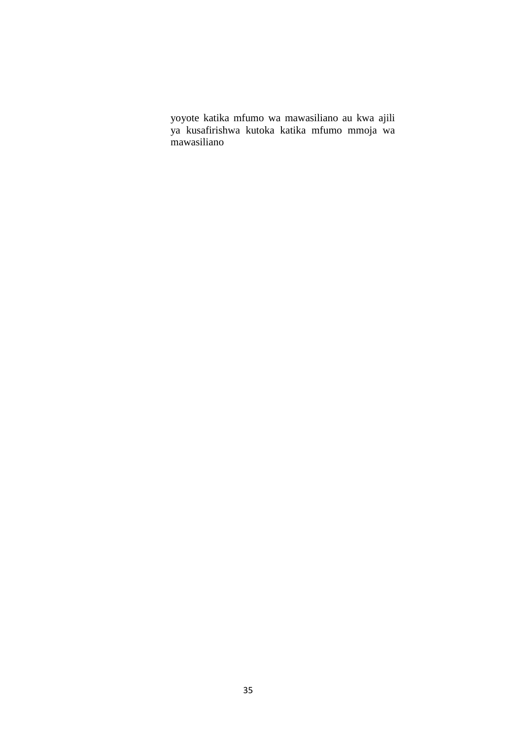yoyote katika mfumo wa mawasiliano au kwa ajili ya kusafirishwa kutoka katika mfumo mmoja wa mawasiliano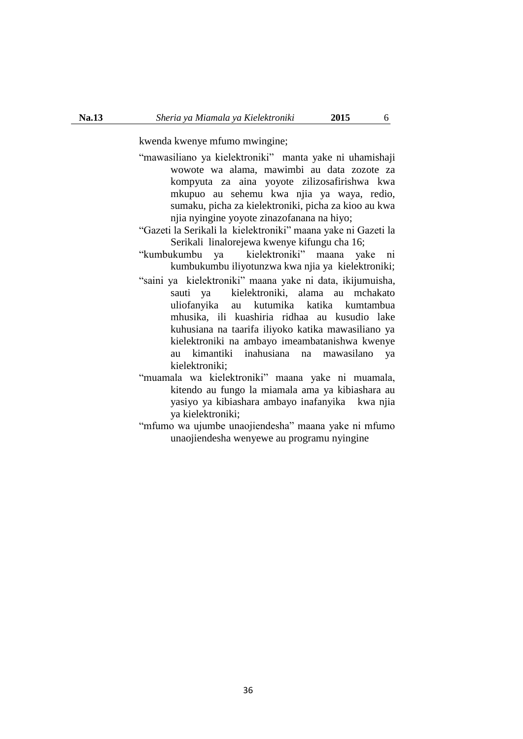kwenda kwenye mfumo mwingine;

- "mawasiliano ya kielektroniki" manta yake ni uhamishaji wowote wa alama, mawimbi au data zozote za kompyuta za aina yoyote zilizosafirishwa kwa mkupuo au sehemu kwa njia ya waya, redio, sumaku, picha za kielektroniki, picha za kioo au kwa njia nyingine yoyote zinazofanana na hiyo;
- "Gazeti la Serikali la kielektroniki" maana yake ni Gazeti la Serikali linalorejewa kwenye kifungu cha 16;
- "kumbukumbu ya kielektroniki" maana yake ni kumbukumbu iliyotunzwa kwa njia ya kielektroniki;
- "saini ya kielektroniki" maana yake ni data, ikijumuisha, sauti ya kielektroniki, alama au mchakato uliofanyika au kutumika katika kumtambua mhusika, ili kuashiria ridhaa au kusudio lake kuhusiana na taarifa iliyoko katika mawasiliano ya kielektroniki na ambayo imeambatanishwa kwenye au kimantiki inahusiana na mawasilano ya kielektroniki;
- "muamala wa kielektroniki" maana yake ni muamala, kitendo au fungo la miamala ama ya kibiashara au yasiyo ya kibiashara ambayo inafanyika kwa njia ya kielektroniki;
- "mfumo wa ujumbe unaojiendesha" maana yake ni mfumo unaojiendesha wenyewe au programu nyingine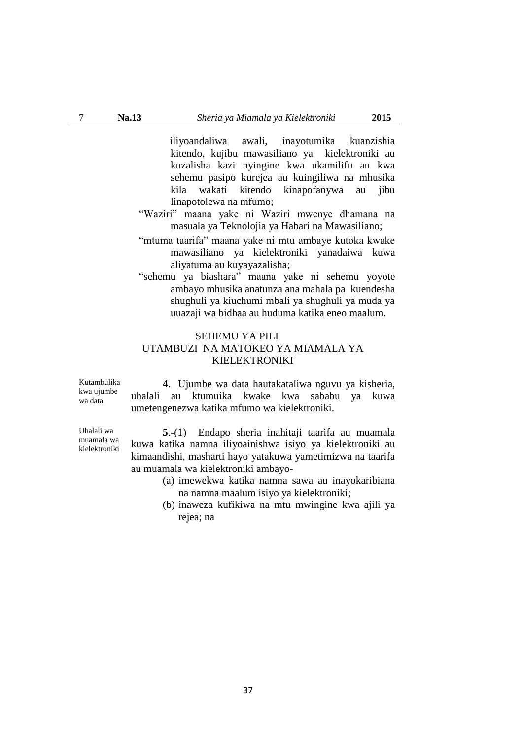iliyoandaliwa awali, inayotumika kuanzishia kitendo, kujibu mawasiliano ya kielektroniki au kuzalisha kazi nyingine kwa ukamilifu au kwa sehemu pasipo kurejea au kuingiliwa na mhusika kila wakati kitendo kinapofanywa au jibu linapotolewa na mfumo;

- "Waziri" maana yake ni Waziri mwenye dhamana na masuala ya Teknolojia ya Habari na Mawasiliano;
- "mtuma taarifa" maana yake ni mtu ambaye kutoka kwake mawasiliano ya kielektroniki yanadaiwa kuwa aliyatuma au kuyayazalisha;
- "sehemu ya biashara" maana yake ni sehemu yoyote ambayo mhusika anatunza ana mahala pa kuendesha shughuli ya kiuchumi mbali ya shughuli ya muda ya uuazaji wa bidhaa au huduma katika eneo maalum.

# SEHEMU YA PILI UTAMBUZI NA MATOKEO YA MIAMALA YA KIELEKTRONIKI

Kutambulika kwa ujumbe wa data

Uhalali wa muamala wa kielektroniki

**4**. Ujumbe wa data hautakataliwa nguvu ya kisheria, uhalali au ktumuika kwake kwa sababu ya kuwa umetengenezwa katika mfumo wa kielektroniki.

**5**.-(1) Endapo sheria inahitaji taarifa au muamala kuwa katika namna iliyoainishwa isiyo ya kielektroniki au kimaandishi, masharti hayo yatakuwa yametimizwa na taarifa au muamala wa kielektroniki ambayo-

- (a) imewekwa katika namna sawa au inayokaribiana na namna maalum isiyo ya kielektroniki;
- (b) inaweza kufikiwa na mtu mwingine kwa ajili ya rejea; na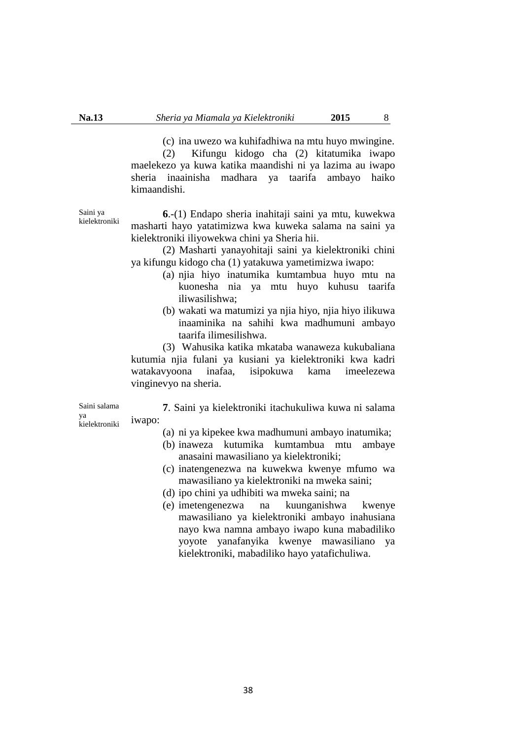(c) ina uwezo wa kuhifadhiwa na mtu huyo mwingine.

(2) Kifungu kidogo cha (2) kitatumika iwapo maelekezo ya kuwa katika maandishi ni ya lazima au iwapo sheria inaainisha madhara ya taarifa ambayo haiko kimaandishi.

Saini ya kielektroniki

**6**.-(1) Endapo sheria inahitaji saini ya mtu, kuwekwa masharti hayo yatatimizwa kwa kuweka salama na saini ya kielektroniki iliyowekwa chini ya Sheria hii.

(2) Masharti yanayohitaji saini ya kielektroniki chini ya kifungu kidogo cha (1) yatakuwa yametimizwa iwapo:

- (a) njia hiyo inatumika kumtambua huyo mtu na kuonesha nia ya mtu huyo kuhusu taarifa iliwasilishwa;
- (b) wakati wa matumizi ya njia hiyo, njia hiyo ilikuwa inaaminika na sahihi kwa madhumuni ambayo taarifa ilimesilishwa.

(3) Wahusika katika mkataba wanaweza kukubaliana kutumia njia fulani ya kusiani ya kielektroniki kwa kadri watakavyoona inafaa, isipokuwa kama imeelezewa vinginevyo na sheria.

Saini salama ya kielektroniki

**7**. Saini ya kielektroniki itachukuliwa kuwa ni salama iwapo:

- (a) ni ya kipekee kwa madhumuni ambayo inatumika;
- (b) inaweza kutumika kumtambua mtu ambaye anasaini mawasiliano ya kielektroniki;
- (c) inatengenezwa na kuwekwa kwenye mfumo wa mawasiliano ya kielektroniki na mweka saini;
- (d) ipo chini ya udhibiti wa mweka saini; na
- (e) imetengenezwa na kuunganishwa kwenye mawasiliano ya kielektroniki ambayo inahusiana nayo kwa namna ambayo iwapo kuna mabadiliko yoyote yanafanyika kwenye mawasiliano ya kielektroniki, mabadiliko hayo yatafichuliwa.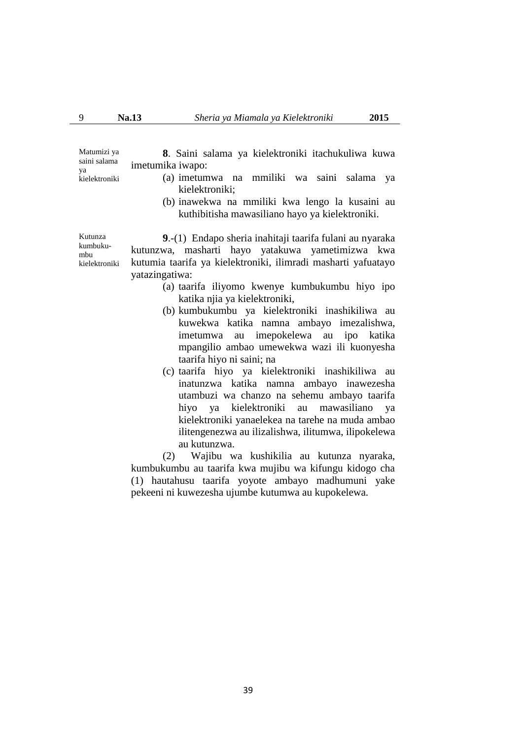Matumizi ya saini salama ya kielektroniki **8**. Saini salama ya kielektroniki itachukuliwa kuwa imetumika iwapo:

- (a) imetumwa na mmiliki wa saini salama ya kielektroniki;
- (b) inawekwa na mmiliki kwa lengo la kusaini au kuthibitisha mawasiliano hayo ya kielektroniki.

**9**.-(1) Endapo sheria inahitaji taarifa fulani au nyaraka kutunzwa, masharti hayo yatakuwa yametimizwa kwa kutumia taarifa ya kielektroniki, ilimradi masharti yafuatayo yatazingatiwa:

- (a) taarifa iliyomo kwenye kumbukumbu hiyo ipo katika njia ya kielektroniki,
- (b) kumbukumbu ya kielektroniki inashikiliwa au kuwekwa katika namna ambayo imezalishwa, imetumwa au imepokelewa au ipo katika mpangilio ambao umewekwa wazi ili kuonyesha taarifa hiyo ni saini; na
- (c) taarifa hiyo ya kielektroniki inashikiliwa au inatunzwa katika namna ambayo inawezesha utambuzi wa chanzo na sehemu ambayo taarifa hiyo ya kielektroniki au mawasiliano ya kielektroniki yanaelekea na tarehe na muda ambao ilitengenezwa au ilizalishwa, ilitumwa, ilipokelewa au kutunzwa.

(2) Wajibu wa kushikilia au kutunza nyaraka, kumbukumbu au taarifa kwa mujibu wa kifungu kidogo cha (1) hautahusu taarifa yoyote ambayo madhumuni yake pekeeni ni kuwezesha ujumbe kutumwa au kupokelewa.

Kutunza kumbukumbu kielektroniki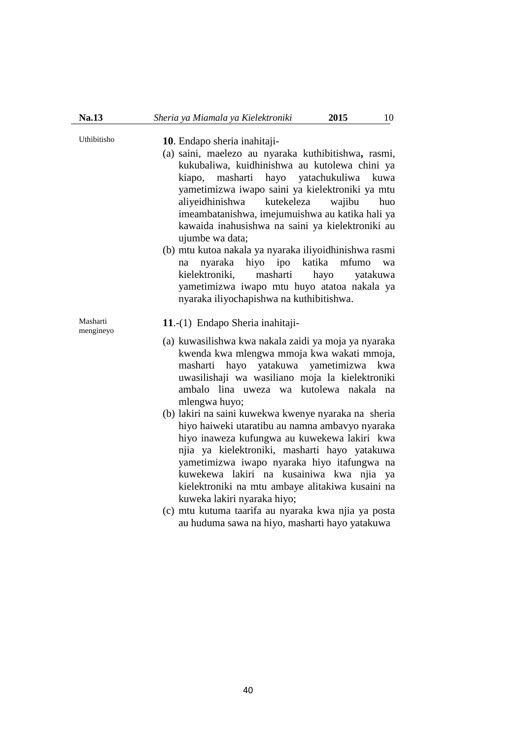# Uthibitisho **10**. Endapo sheria inahitaji-

- (a) saini, maelezo au nyaraka kuthibitishwa**,** rasmi, kukubaliwa, kuidhinishwa au kutolewa chini ya kiapo, masharti hayo yatachukuliwa kuwa yametimizwa iwapo saini ya kielektroniki ya mtu aliyeidhinishwa kutekeleza wajibu huo imeambatanishwa, imejumuishwa au katika hali ya kawaida inahusishwa na saini ya kielektroniki au ujumbe wa data;
- (b) mtu kutoa nakala ya nyaraka iliyoidhinishwa rasmi na nyaraka hiyo ipo katika mfumo wa kielektroniki, masharti hayo yatakuwa yametimizwa iwapo mtu huyo atatoa nakala ya nyaraka iliyochapishwa na kuthibitishwa.

Masharti mengineyo

#### **11**.-(1) Endapo Sheria inahitaji-

- (a) kuwasilishwa kwa nakala zaidi ya moja ya nyaraka kwenda kwa mlengwa mmoja kwa wakati mmoja, masharti hayo yatakuwa yametimizwa kwa uwasilishaji wa wasiliano moja la kielektroniki ambalo lina uweza wa kutolewa nakala na mlengwa huyo;
- (b) lakiri na saini kuwekwa kwenye nyaraka na sheria hiyo haiweki utaratibu au namna ambavyo nyaraka hiyo inaweza kufungwa au kuwekewa lakiri kwa njia ya kielektroniki, masharti hayo yatakuwa yametimizwa iwapo nyaraka hiyo itafungwa na kuwekewa lakiri na kusainiwa kwa njia ya kielektroniki na mtu ambaye alitakiwa kusaini na kuweka lakiri nyaraka hiyo;
- (c) mtu kutuma taarifa au nyaraka kwa njia ya posta au huduma sawa na hiyo, masharti hayo yatakuwa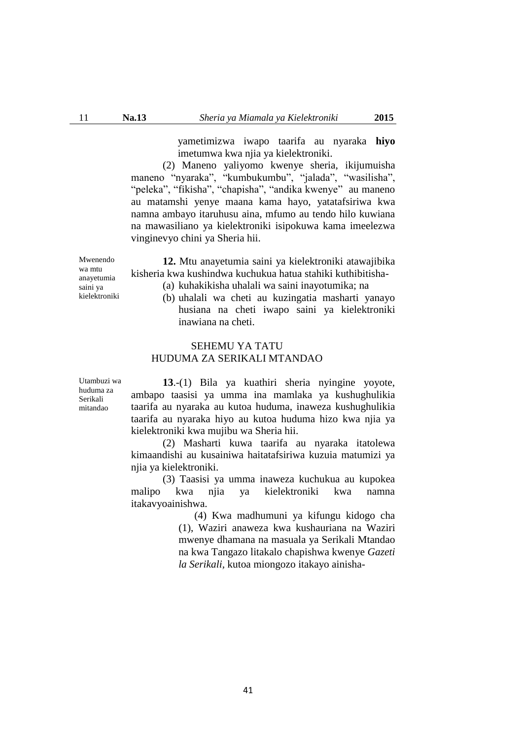yametimizwa iwapo taarifa au nyaraka **hiyo** imetumwa kwa njia ya kielektroniki.

(2) Maneno yaliyomo kwenye sheria, ikijumuisha maneno "nyaraka", "kumbukumbu", "jalada", "wasilisha", "peleka", "fikisha", "chapisha", "andika kwenye" au maneno au matamshi yenye maana kama hayo, yatatafsiriwa kwa namna ambayo itaruhusu aina, mfumo au tendo hilo kuwiana na mawasiliano ya kielektroniki isipokuwa kama imeelezwa vinginevyo chini ya Sheria hii.

**12.** Mtu anayetumia saini ya kielektroniki atawajibika kisheria kwa kushindwa kuchukua hatua stahiki kuthibitisha-

- (a) kuhakikisha uhalali wa saini inayotumika; na
	- (b) uhalali wa cheti au kuzingatia masharti yanayo husiana na cheti iwapo saini ya kielektroniki inawiana na cheti.

## SEHEMU YA TATU HUDUMA ZA SERIKALI MTANDAO

Utambuzi wa huduma za Serikali mitandao

**13**.-(1) Bila ya kuathiri sheria nyingine yoyote, ambapo taasisi ya umma ina mamlaka ya kushughulikia taarifa au nyaraka au kutoa huduma, inaweza kushughulikia taarifa au nyaraka hiyo au kutoa huduma hizo kwa njia ya kielektroniki kwa mujibu wa Sheria hii.

(2) Masharti kuwa taarifa au nyaraka itatolewa kimaandishi au kusainiwa haitatafsiriwa kuzuia matumizi ya njia ya kielektroniki.

(3) Taasisi ya umma inaweza kuchukua au kupokea malipo kwa njia ya kielektroniki kwa namna itakavyoainishwa.

> (4) Kwa madhumuni ya kifungu kidogo cha (1), Waziri anaweza kwa kushauriana na Waziri mwenye dhamana na masuala ya Serikali Mtandao na kwa Tangazo litakalo chapishwa kwenye *Gazeti la Serikali,* kutoa miongozo itakayo ainisha-

wa mtu anayetumia saini ya kielektroniki

Mwenendo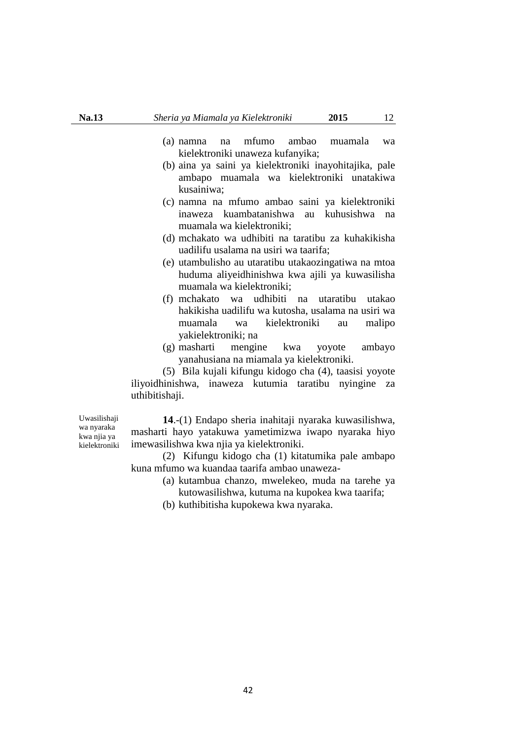- (a) namna na mfumo ambao muamala wa kielektroniki unaweza kufanyika;
- (b) aina ya saini ya kielektroniki inayohitajika, pale ambapo muamala wa kielektroniki unatakiwa kusainiwa;
- (c) namna na mfumo ambao saini ya kielektroniki inaweza kuambatanishwa au kuhusishwa na muamala wa kielektroniki;
- (d) mchakato wa udhibiti na taratibu za kuhakikisha uadilifu usalama na usiri wa taarifa;
- (e) utambulisho au utaratibu utakaozingatiwa na mtoa huduma aliyeidhinishwa kwa ajili ya kuwasilisha muamala wa kielektroniki;
- (f) mchakato wa udhibiti na utaratibu utakao hakikisha uadilifu wa kutosha, usalama na usiri wa muamala wa kielektroniki au malipo yakielektroniki; na
- (g) masharti mengine kwa yoyote ambayo yanahusiana na miamala ya kielektroniki.

(5) Bila kujali kifungu kidogo cha (4), taasisi yoyote iliyoidhinishwa, inaweza kutumia taratibu nyingine za uthibitishaji.

Uwasilishaji wa nyaraka kwa njia ya kielektroniki

**14**.-(1) Endapo sheria inahitaji nyaraka kuwasilishwa, masharti hayo yatakuwa yametimizwa iwapo nyaraka hiyo imewasilishwa kwa njia ya kielektroniki.

(2) Kifungu kidogo cha (1) kitatumika pale ambapo kuna mfumo wa kuandaa taarifa ambao unaweza-

- (a) kutambua chanzo, mwelekeo, muda na tarehe ya kutowasilishwa, kutuma na kupokea kwa taarifa;
- (b) kuthibitisha kupokewa kwa nyaraka.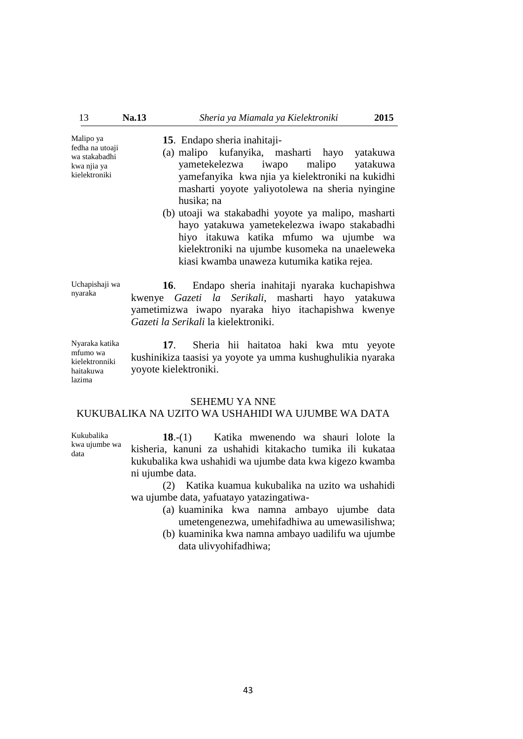Malipo ya fedha na utoaji wa stakabadhi kwa njia ya kielektroniki

Kukubalika kwa ujumbe wa

data

- **15**. Endapo sheria inahitaji-
- (a) malipo kufanyika, masharti hayo yatakuwa yametekelezwa iwapo malipo yatakuwa yamefanyika kwa njia ya kielektroniki na kukidhi masharti yoyote yaliyotolewa na sheria nyingine husika; na
- (b) utoaji wa stakabadhi yoyote ya malipo, masharti hayo yatakuwa yametekelezwa iwapo stakabadhi hiyo itakuwa katika mfumo wa ujumbe wa kielektroniki na ujumbe kusomeka na unaeleweka kiasi kwamba unaweza kutumika katika rejea.

Uchapishaji wa nyaraka **16**. Endapo sheria inahitaji nyaraka kuchapishwa kwenye *Gazeti la Serikali*, masharti hayo yatakuwa yametimizwa iwapo nyaraka hiyo itachapishwa kwenye *Gazeti la Serikali* la kielektroniki.

Nyaraka katika mfumo wa kielektronniki haitakuwa lazima **17**. Sheria hii haitatoa haki kwa mtu yeyote kushinikiza taasisi ya yoyote ya umma kushughulikia nyaraka yoyote kielektroniki.

#### SEHEMU YA NNE

### KUKUBALIKA NA UZITO WA USHAHIDI WA UJUMBE WA DATA

**18**.-(1) Katika mwenendo wa shauri lolote la kisheria, kanuni za ushahidi kitakacho tumika ili kukataa kukubalika kwa ushahidi wa ujumbe data kwa kigezo kwamba ni ujumbe data.

(2) Katika kuamua kukubalika na uzito wa ushahidi wa ujumbe data, yafuatayo yatazingatiwa-

- (a) kuaminika kwa namna ambayo ujumbe data umetengenezwa, umehifadhiwa au umewasilishwa;
- (b) kuaminika kwa namna ambayo uadilifu wa ujumbe data ulivyohifadhiwa;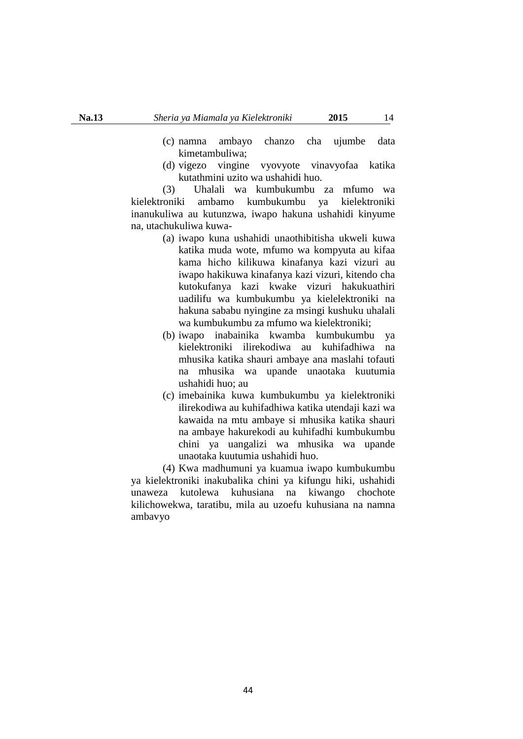- (c) namna ambayo chanzo cha ujumbe data kimetambuliwa;
- (d) vigezo vingine vyovyote vinavyofaa katika kutathmini uzito wa ushahidi huo.

(3) Uhalali wa kumbukumbu za mfumo wa kielektroniki ambamo kumbukumbu ya kielektroniki inanukuliwa au kutunzwa, iwapo hakuna ushahidi kinyume na, utachukuliwa kuwa-

- (a) iwapo kuna ushahidi unaothibitisha ukweli kuwa katika muda wote, mfumo wa kompyuta au kifaa kama hicho kilikuwa kinafanya kazi vizuri au iwapo hakikuwa kinafanya kazi vizuri, kitendo cha kutokufanya kazi kwake vizuri hakukuathiri uadilifu wa kumbukumbu ya kielelektroniki na hakuna sababu nyingine za msingi kushuku uhalali wa kumbukumbu za mfumo wa kielektroniki;
- (b) iwapo inabainika kwamba kumbukumbu ya kielektroniki ilirekodiwa au kuhifadhiwa na mhusika katika shauri ambaye ana maslahi tofauti na mhusika wa upande unaotaka kuutumia ushahidi huo; au
- (c) imebainika kuwa kumbukumbu ya kielektroniki ilirekodiwa au kuhifadhiwa katika utendaji kazi wa kawaida na mtu ambaye si mhusika katika shauri na ambaye hakurekodi au kuhifadhi kumbukumbu chini ya uangalizi wa mhusika wa upande unaotaka kuutumia ushahidi huo.

(4) Kwa madhumuni ya kuamua iwapo kumbukumbu ya kielektroniki inakubalika chini ya kifungu hiki, ushahidi unaweza kutolewa kuhusiana na kiwango chochote kilichowekwa, taratibu, mila au uzoefu kuhusiana na namna ambavyo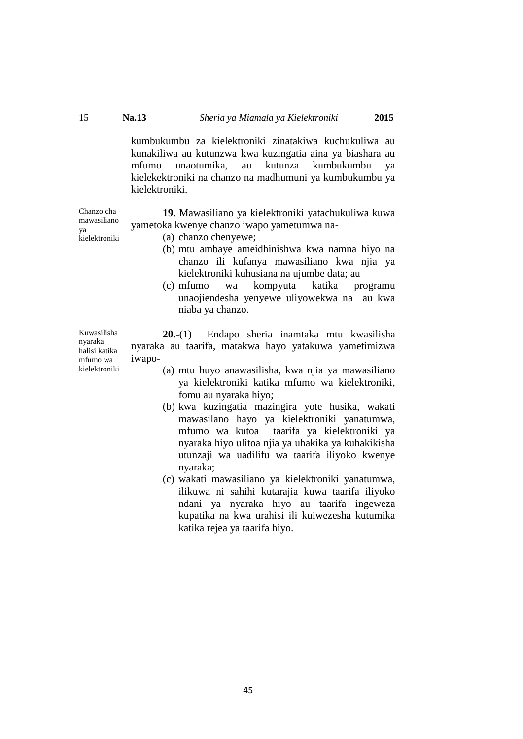kumbukumbu za kielektroniki zinatakiwa kuchukuliwa au kunakiliwa au kutunzwa kwa kuzingatia aina ya biashara au mfumo unaotumika, au kutunza kumbukumbu ya kielekektroniki na chanzo na madhumuni ya kumbukumbu ya kielektroniki.

**19**. Mawasiliano ya kielektroniki yatachukuliwa kuwa yametoka kwenye chanzo iwapo yametumwa na-

- (a) chanzo chenyewe;
- (b) mtu ambaye ameidhinishwa kwa namna hiyo na chanzo ili kufanya mawasiliano kwa njia ya kielektroniki kuhusiana na ujumbe data; au
- (c) mfumo wa kompyuta katika programu unaojiendesha yenyewe uliyowekwa na au kwa niaba ya chanzo.

**20**.-(1) Endapo sheria inamtaka mtu kwasilisha nyaraka au taarifa, matakwa hayo yatakuwa yametimizwa iwapo-

- (a) mtu huyo anawasilisha, kwa njia ya mawasiliano ya kielektroniki katika mfumo wa kielektroniki, fomu au nyaraka hiyo;
- (b) kwa kuzingatia mazingira yote husika, wakati mawasilano hayo ya kielektroniki yanatumwa, mfumo wa kutoa taarifa ya kielektroniki ya nyaraka hiyo ulitoa njia ya uhakika ya kuhakikisha utunzaji wa uadilifu wa taarifa iliyoko kwenye nyaraka;
- (c) wakati mawasiliano ya kielektroniki yanatumwa, ilikuwa ni sahihi kutarajia kuwa taarifa iliyoko ndani ya nyaraka hiyo au taarifa ingeweza kupatika na kwa urahisi ili kuiwezesha kutumika katika rejea ya taarifa hiyo.

mawasiliano ya kielektroniki

Chanzo cha

Kuwasilisha nyaraka halisi katika mfumo wa kielektroniki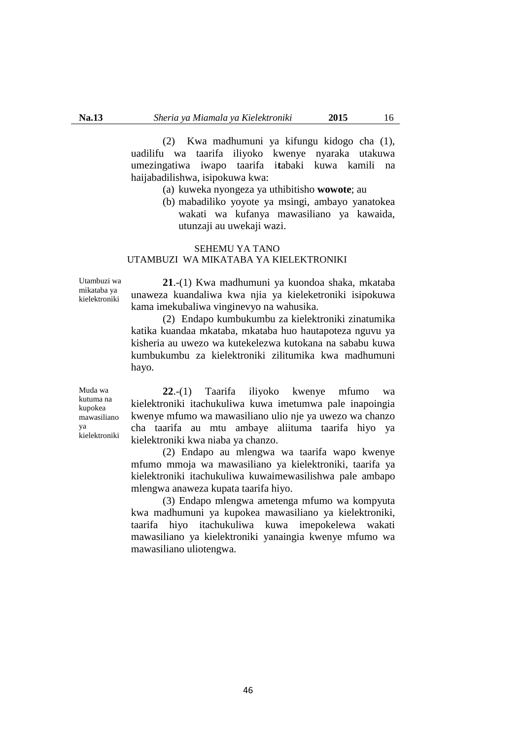(2) Kwa madhumuni ya kifungu kidogo cha (1), uadilifu wa taarifa iliyoko kwenye nyaraka utakuwa umezingatiwa iwapo taarifa i**t**abaki kuwa kamili na haijabadilishwa, isipokuwa kwa:

- (a) kuweka nyongeza ya uthibitisho **wowote**; au
- (b) mabadiliko yoyote ya msingi, ambayo yanatokea wakati wa kufanya mawasiliano ya kawaida, utunzaji au uwekaji wazi.

### SEHEMU YA TANO UTAMBUZI WA MIKATABA YA KIELEKTRONIKI

Utambuzi wa mikataba ya kielektroniki

**21**.-(1) Kwa madhumuni ya kuondoa shaka, mkataba unaweza kuandaliwa kwa njia ya kieleketroniki isipokuwa kama imekubaliwa vinginevyo na wahusika.

(2) Endapo kumbukumbu za kielektroniki zinatumika katika kuandaa mkataba, mkataba huo hautapoteza nguvu ya kisheria au uwezo wa kutekelezwa kutokana na sababu kuwa kumbukumbu za kielektroniki zilitumika kwa madhumuni hayo.

Muda wa kutuma na kupokea mawasiliano ya kielektroniki

**22**.-(1) Taarifa iliyoko kwenye mfumo wa kielektroniki itachukuliwa kuwa imetumwa pale inapoingia kwenye mfumo wa mawasiliano ulio nje ya uwezo wa chanzo cha taarifa au mtu ambaye aliituma taarifa hiyo ya kielektroniki kwa niaba ya chanzo.

(2) Endapo au mlengwa wa taarifa wapo kwenye mfumo mmoja wa mawasiliano ya kielektroniki, taarifa ya kielektroniki itachukuliwa kuwaimewasilishwa pale ambapo mlengwa anaweza kupata taarifa hiyo.

(3) Endapo mlengwa ametenga mfumo wa kompyuta kwa madhumuni ya kupokea mawasiliano ya kielektroniki, taarifa hiyo itachukuliwa kuwa imepokelewa wakati mawasiliano ya kielektroniki yanaingia kwenye mfumo wa mawasiliano uliotengwa.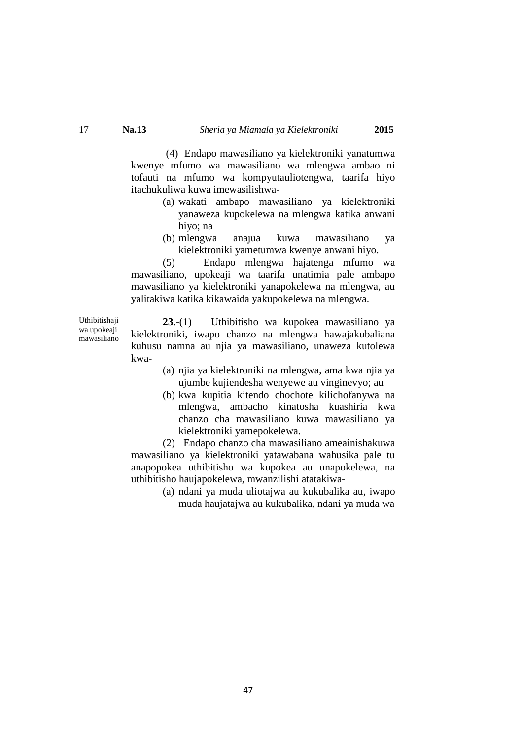(4) Endapo mawasiliano ya kielektroniki yanatumwa kwenye mfumo wa mawasiliano wa mlengwa ambao ni tofauti na mfumo wa kompyutauliotengwa, taarifa hiyo itachukuliwa kuwa imewasilishwa-

- (a) wakati ambapo mawasiliano ya kielektroniki yanaweza kupokelewa na mlengwa katika anwani hiyo; na
- (b) mlengwa anajua kuwa mawasiliano ya kielektroniki yametumwa kwenye anwani hiyo.

(5) Endapo mlengwa hajatenga mfumo wa mawasiliano, upokeaji wa taarifa unatimia pale ambapo mawasiliano ya kielektroniki yanapokelewa na mlengwa, au yalitakiwa katika kikawaida yakupokelewa na mlengwa.

**23**.-(1) Uthibitisho wa kupokea mawasiliano ya kielektroniki, iwapo chanzo na mlengwa hawajakubaliana kuhusu namna au njia ya mawasiliano, unaweza kutolewa kwa-

- (a) njia ya kielektroniki na mlengwa, ama kwa njia ya ujumbe kujiendesha wenyewe au vinginevyo; au
- (b) kwa kupitia kitendo chochote kilichofanywa na mlengwa, ambacho kinatosha kuashiria kwa chanzo cha mawasiliano kuwa mawasiliano ya kielektroniki yamepokelewa.

(2) Endapo chanzo cha mawasiliano ameainishakuwa mawasiliano ya kielektroniki yatawabana wahusika pale tu anapopokea uthibitisho wa kupokea au unapokelewa, na uthibitisho haujapokelewa, mwanzilishi atatakiwa-

> (a) ndani ya muda uliotajwa au kukubalika au, iwapo muda haujatajwa au kukubalika, ndani ya muda wa

Uthibitishaji wa upokeaji mawasiliano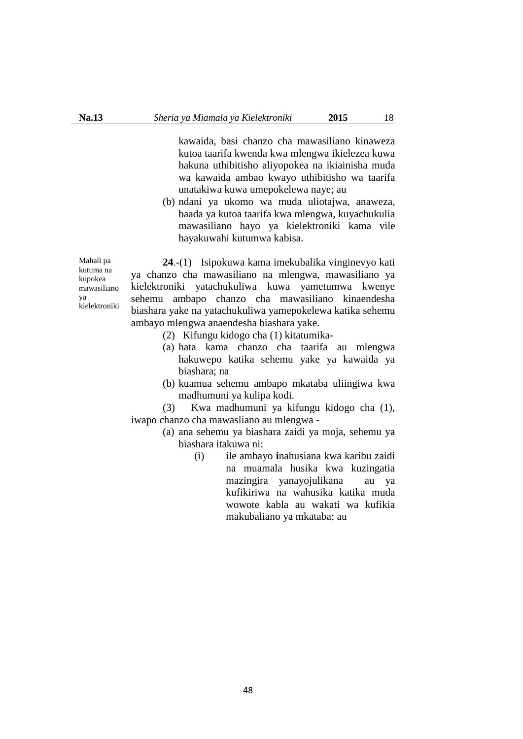kawaida, basi chanzo cha mawasiliano kinaweza kutoa taarifa kwenda kwa mlengwa ikielezea kuwa hakuna uthibitisho aliyopokea na ikiainisha muda wa kawaida ambao kwayo uthibitisho wa taarifa unatakiwa kuwa umepokelewa naye; au

(b) ndani ya ukomo wa muda uliotajwa, anaweza, baada ya kutoa taarifa kwa mlengwa, kuyachukulia mawasiliano hayo ya kielektroniki kama vile hayakuwahi kutumwa kabisa.

Mahali pa kutuma na kupokea mawasiliano ya .<br>kielektroniki

**24**.-(1) Isipokuwa kama imekubalika vinginevyo kati ya chanzo cha mawasiliano na mlengwa, mawasiliano ya kielektroniki yatachukuliwa kuwa yametumwa kwenye sehemu ambapo chanzo cha mawasiliano kinaendesha biashara yake na yatachukuliwa yamepokelewa katika sehemu ambayo mlengwa anaendesha biashara yake.

- (2) Kifungu kidogo cha (1) kitatumika-
- (a) hata kama chanzo cha taarifa au mlengwa hakuwepo katika sehemu yake ya kawaida ya biashara; na
- (b) kuamua sehemu ambapo mkataba uliingiwa kwa madhumuni ya kulipa kodi.

(3) Kwa madhumuni ya kifungu kidogo cha (1), iwapo chanzo cha mawasliano au mlengwa -

- (a) ana sehemu ya biashara zaidi ya moja, sehemu ya biashara itakuwa ni:
	- (i) ile ambayo **i**nahusiana kwa karibu zaidi na muamala husika kwa kuzingatia mazingira yanayojulikana au ya kufikiriwa na wahusika katika muda wowote kabla au wakati wa kufikia makubaliano ya mkataba; au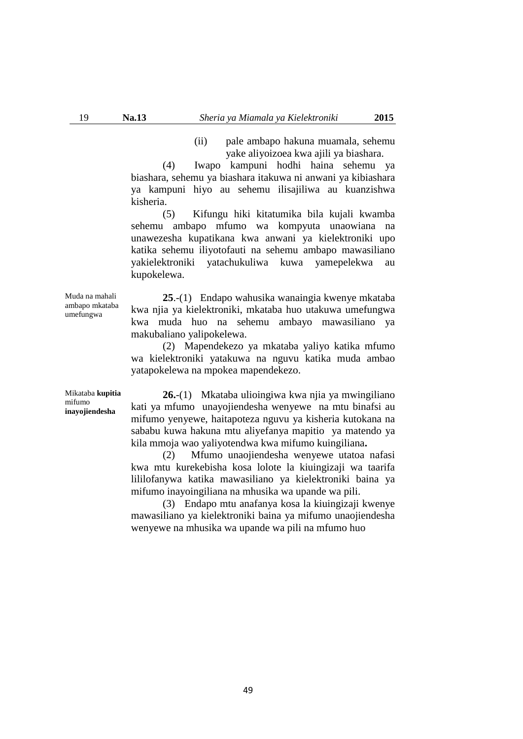(ii) pale ambapo hakuna muamala, sehemu yake aliyoizoea kwa ajili ya biashara.

(4) Iwapo kampuni hodhi haina sehemu ya biashara, sehemu ya biashara itakuwa ni anwani ya kibiashara ya kampuni hiyo au sehemu ilisajiliwa au kuanzishwa kisheria.

(5) Kifungu hiki kitatumika bila kujali kwamba sehemu ambapo mfumo wa kompyuta unaowiana na unawezesha kupatikana kwa anwani ya kielektroniki upo katika sehemu iliyotofauti na sehemu ambapo mawasiliano yakielektroniki yatachukuliwa kuwa yamepelekwa au kupokelewa.

Muda na mahali ambapo mkataba umefungwa

**25**.-(1) Endapo wahusika wanaingia kwenye mkataba kwa njia ya kielektroniki, mkataba huo utakuwa umefungwa kwa muda huo na sehemu ambayo mawasiliano ya makubaliano yalipokelewa.

(2) Mapendekezo ya mkataba yaliyo katika mfumo wa kielektroniki yatakuwa na nguvu katika muda ambao yatapokelewa na mpokea mapendekezo.

Mikataba **kupitia** mifumo **inayojiendesha**

**26.**-(1) Mkataba ulioingiwa kwa njia ya mwingiliano kati ya mfumo unayojiendesha wenyewe na mtu binafsi au mifumo yenyewe, haitapoteza nguvu ya kisheria kutokana na sababu kuwa hakuna mtu aliyefanya mapitio ya matendo ya kila mmoja wao yaliyotendwa kwa mifumo kuingiliana**.** 

(2) Mfumo unaojiendesha wenyewe utatoa nafasi kwa mtu kurekebisha kosa lolote la kiuingizaji wa taarifa lililofanywa katika mawasiliano ya kielektroniki baina ya mifumo inayoingiliana na mhusika wa upande wa pili.

(3) Endapo mtu anafanya kosa la kiuingizaji kwenye mawasiliano ya kielektroniki baina ya mifumo unaojiendesha wenyewe na mhusika wa upande wa pili na mfumo huo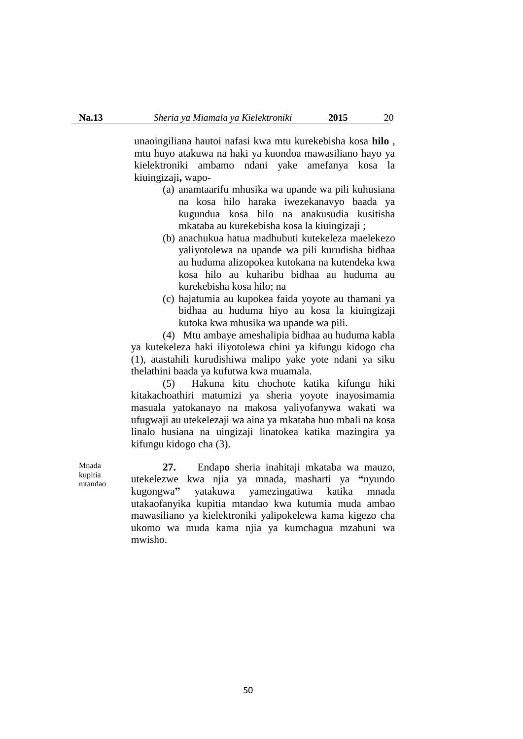unaoingiliana hautoi nafasi kwa mtu kurekebisha kosa **hilo** , mtu huyo atakuwa na haki ya kuondoa mawasiliano hayo ya kielektroniki ambamo ndani yake amefanya kosa la kiuingizaji**,** wapo-

- (a) anamtaarifu mhusika wa upande wa pili kuhusiana na kosa hilo haraka iwezekanavyo baada ya kugundua kosa hilo na anakusudia kusitisha mkataba au kurekebisha kosa la kiuingizaji ;
- (b) anachukua hatua madhubuti kutekeleza maelekezo yaliyotolewa na upande wa pili kurudisha bidhaa au huduma alizopokea kutokana na kutendeka kwa kosa hilo au kuharibu bidhaa au huduma au kurekebisha kosa hilo; na
- (c) hajatumia au kupokea faida yoyote au thamani ya bidhaa au huduma hiyo au kosa la kiuingizaji kutoka kwa mhusika wa upande wa pili.

(4) Mtu ambaye ameshalipia bidhaa au huduma kabla ya kutekeleza haki iliyotolewa chini ya kifungu kidogo cha (1), atastahili kurudishiwa malipo yake yote ndani ya siku thelathini baada ya kufutwa kwa muamala.

(5) Hakuna kitu chochote katika kifungu hiki kitakachoathiri matumizi ya sheria yoyote inayosimamia masuala yatokanayo na makosa yaliyofanywa wakati wa ufugwaji au utekelezaji wa aina ya mkataba huo mbali na kosa linalo husiana na uingizaji linatokea katika mazingira ya kifungu kidogo cha (3).

**27.** Endap**o** sheria inahitaji mkataba wa mauzo, utekelezwe kwa njia ya mnada, masharti ya **"**nyundo kugongwa**"** yatakuwa yamezingatiwa katika mnada utakaofanyika kupitia mtandao kwa kutumia muda ambao mawasiliano ya kielektroniki yalipokelewa kama kigezo cha ukomo wa muda kama njia ya kumchagua mzabuni wa mwisho.

Mnada kupitia mtandao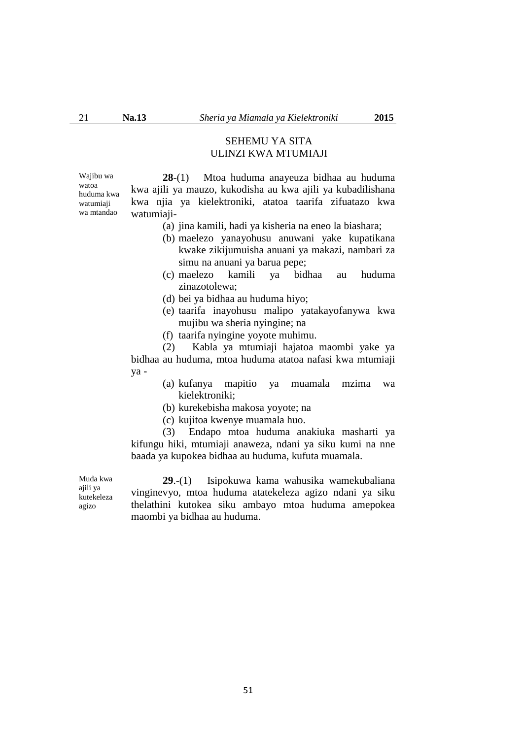# SEHEMU YA SITA ULINZI KWA MTUMIAJI

Wajibu wa watoa huduma kwa watumiaji wa mtandao

**28**-(1) Mtoa huduma anayeuza bidhaa au huduma kwa ajili ya mauzo, kukodisha au kwa ajili ya kubadilishana kwa njia ya kielektroniki, atatoa taarifa zifuatazo kwa watumiaji-

- (a) jina kamili, hadi ya kisheria na eneo la biashara;
- (b) maelezo yanayohusu anuwani yake kupatikana kwake zikijumuisha anuani ya makazi, nambari za simu na anuani ya barua pepe;
- (c) maelezo kamili ya bidhaa au huduma zinazotolewa;
- (d) bei ya bidhaa au huduma hiyo;
- (e) taarifa inayohusu malipo yatakayofanywa kwa mujibu wa sheria nyingine; na
- (f) taarifa nyingine yoyote muhimu.

(2) Kabla ya mtumiaji hajatoa maombi yake ya bidhaa au huduma, mtoa huduma atatoa nafasi kwa mtumiaji ya -

- (a) kufanya mapitio ya muamala mzima wa kielektroniki;
- (b) kurekebisha makosa yoyote; na
- (c) kujitoa kwenye muamala huo.

(3) Endapo mtoa huduma anakiuka masharti ya kifungu hiki, mtumiaji anaweza, ndani ya siku kumi na nne baada ya kupokea bidhaa au huduma, kufuta muamala.

**29**.-(1) Isipokuwa kama wahusika wamekubaliana vinginevyo, mtoa huduma atatekeleza agizo ndani ya siku thelathini kutokea siku ambayo mtoa huduma amepokea maombi ya bidhaa au huduma.

Muda kwa ajili ya kutekeleza agizo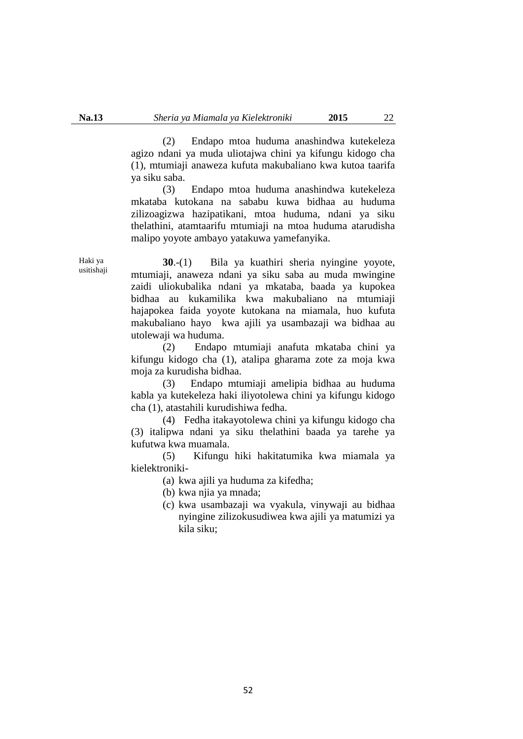(2) Endapo mtoa huduma anashindwa kutekeleza agizo ndani ya muda uliotajwa chini ya kifungu kidogo cha (1), mtumiaji anaweza kufuta makubaliano kwa kutoa taarifa ya siku saba.

(3) Endapo mtoa huduma anashindwa kutekeleza mkataba kutokana na sababu kuwa bidhaa au huduma zilizoagizwa hazipatikani, mtoa huduma, ndani ya siku thelathini, atamtaarifu mtumiaji na mtoa huduma atarudisha malipo yoyote ambayo yatakuwa yamefanyika.

Haki ya usitishaji

**30**.-(1) Bila ya kuathiri sheria nyingine yoyote, mtumiaji, anaweza ndani ya siku saba au muda mwingine zaidi uliokubalika ndani ya mkataba, baada ya kupokea bidhaa au kukamilika kwa makubaliano na mtumiaji hajapokea faida yoyote kutokana na miamala, huo kufuta makubaliano hayo kwa ajili ya usambazaji wa bidhaa au utolewaji wa huduma.

(2) Endapo mtumiaji anafuta mkataba chini ya kifungu kidogo cha (1), atalipa gharama zote za moja kwa moja za kurudisha bidhaa.

(3) Endapo mtumiaji amelipia bidhaa au huduma kabla ya kutekeleza haki iliyotolewa chini ya kifungu kidogo cha (1), atastahili kurudishiwa fedha.

(4) Fedha itakayotolewa chini ya kifungu kidogo cha (3) italipwa ndani ya siku thelathini baada ya tarehe ya kufutwa kwa muamala.

(5) Kifungu hiki hakitatumika kwa miamala ya kielektroniki-

(a) kwa ajili ya huduma za kifedha;

(b) kwa njia ya mnada;

(c) kwa usambazaji wa vyakula, vinywaji au bidhaa nyingine zilizokusudiwea kwa ajili ya matumizi ya kila siku;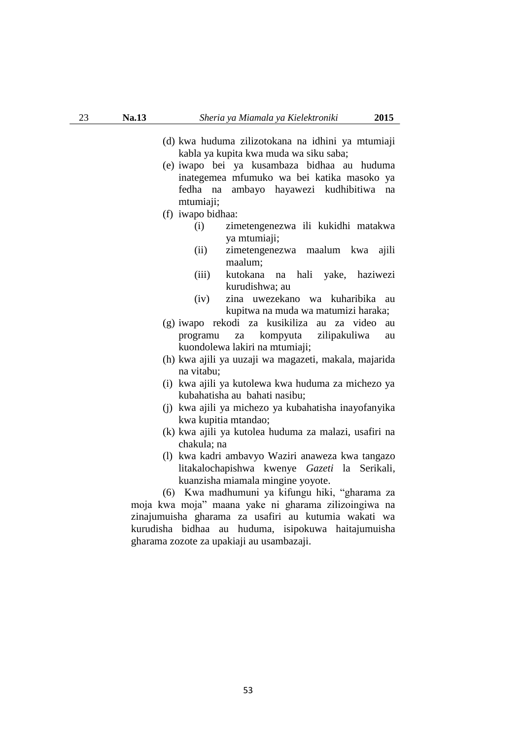- (d) kwa huduma zilizotokana na idhini ya mtumiaji kabla ya kupita kwa muda wa siku saba;
- (e) iwapo bei ya kusambaza bidhaa au huduma inategemea mfumuko wa bei katika masoko ya fedha na ambayo hayawezi kudhibitiwa na mtumiaji;
- (f) iwapo bidhaa:
	- (i) zimetengenezwa ili kukidhi matakwa ya mtumiaji;
	- (ii) zimetengenezwa maalum kwa ajili maalum;
	- (iii) kutokana na hali yake, haziwezi kurudishwa; au
	- (iv) zina uwezekano wa kuharibika au kupitwa na muda wa matumizi haraka;
- (g) iwapo rekodi za kusikiliza au za video au programu za kompyuta zilipakuliwa au kuondolewa lakiri na mtumiaji;
- (h) kwa ajili ya uuzaji wa magazeti, makala, majarida na vitabu;
- (i) kwa ajili ya kutolewa kwa huduma za michezo ya kubahatisha au bahati nasibu;
- (j) kwa ajili ya michezo ya kubahatisha inayofanyika kwa kupitia mtandao;
- (k) kwa ajili ya kutolea huduma za malazi, usafiri na chakula; na
- (l) kwa kadri ambavyo Waziri anaweza kwa tangazo litakalochapishwa kwenye *Gazeti* la Serikali, kuanzisha miamala mingine yoyote.

(6) Kwa madhumuni ya kifungu hiki, "gharama za moja kwa moja" maana yake ni gharama zilizoingiwa na zinajumuisha gharama za usafiri au kutumia wakati wa kurudisha bidhaa au huduma, isipokuwa haitajumuisha gharama zozote za upakiaji au usambazaji.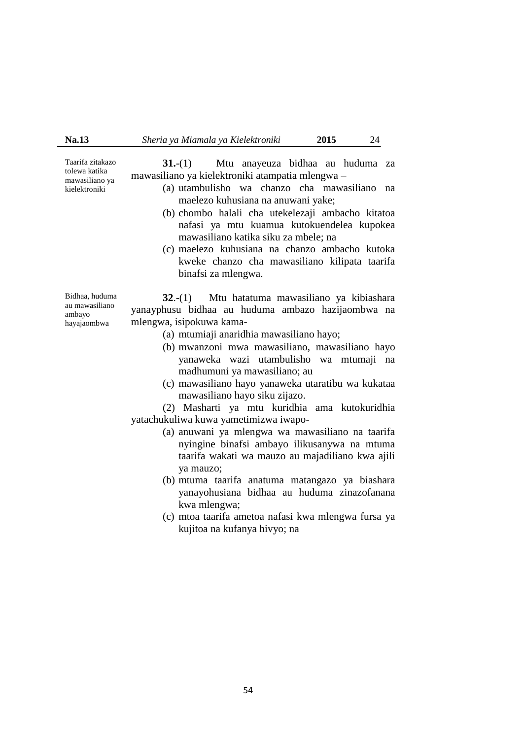Taarifa zitakazo tolewa katika mawasiliano ya kielektroniki

**31.**-(1) Mtu anayeuza bidhaa au huduma za mawasiliano ya kielektroniki atampatia mlengwa –

- (a) utambulisho wa chanzo cha mawasiliano na maelezo kuhusiana na anuwani yake;
- (b) chombo halali cha utekelezaji ambacho kitatoa nafasi ya mtu kuamua kutokuendelea kupokea mawasiliano katika siku za mbele; na
- (c) maelezo kuhusiana na chanzo ambacho kutoka kweke chanzo cha mawasiliano kilipata taarifa binafsi za mlengwa.

Bidhaa, huduma au mawasiliano ambayo hayajaombwa

**32**.-(1) Mtu hatatuma mawasiliano ya kibiashara yanayphusu bidhaa au huduma ambazo hazijaombwa na mlengwa, isipokuwa kama-

- (a) mtumiaji anaridhia mawasiliano hayo;
- (b) mwanzoni mwa mawasiliano, mawasiliano hayo yanaweka wazi utambulisho wa mtumaji na madhumuni ya mawasiliano; au
- (c) mawasiliano hayo yanaweka utaratibu wa kukataa mawasiliano hayo siku zijazo.

(2) Masharti ya mtu kuridhia ama kutokuridhia yatachukuliwa kuwa yametimizwa iwapo-

- (a) anuwani ya mlengwa wa mawasiliano na taarifa nyingine binafsi ambayo ilikusanywa na mtuma taarifa wakati wa mauzo au majadiliano kwa ajili ya mauzo;
- (b) mtuma taarifa anatuma matangazo ya biashara yanayohusiana bidhaa au huduma zinazofanana kwa mlengwa;
- (c) mtoa taarifa ametoa nafasi kwa mlengwa fursa ya kujitoa na kufanya hivyo; na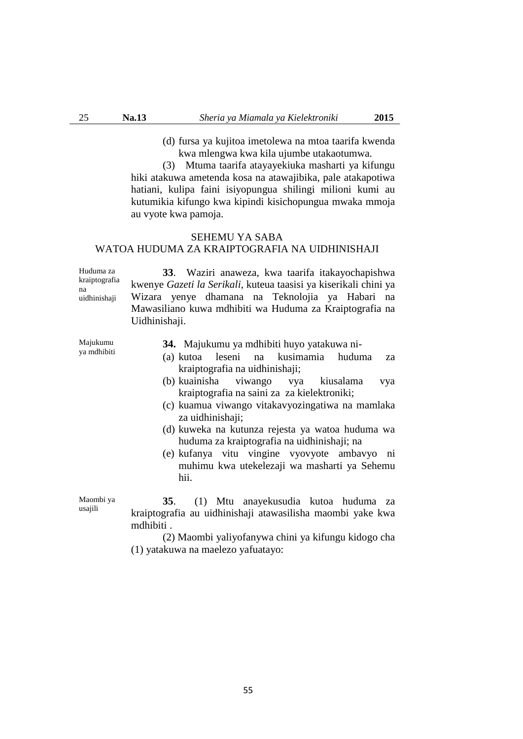(d) fursa ya kujitoa imetolewa na mtoa taarifa kwenda kwa mlengwa kwa kila ujumbe utakaotumwa.

(3) Mtuma taarifa atayayekiuka masharti ya kifungu hiki atakuwa ametenda kosa na atawajibika, pale atakapotiwa hatiani, kulipa faini isiyopungua shilingi milioni kumi au kutumikia kifungo kwa kipindi kisichopungua mwaka mmoja au vyote kwa pamoja.

## SEHEMU YA SABA WATOA HUDUMA ZA KRAIPTOGRAFIA NA UIDHINISHAJI

Huduma za kraiptografia na uidhinishaji

**33**. Waziri anaweza, kwa taarifa itakayochapishwa kwenye *Gazeti la Serikali,* kuteua taasisi ya kiserikali chini ya Wizara yenye dhamana na Teknolojia ya Habari na Mawasiliano kuwa mdhibiti wa Huduma za Kraiptografia na Uidhinishaji.

Majukumu ya mdhibiti **34.** Majukumu ya mdhibiti huyo yatakuwa ni-

- (a) kutoa leseni na kusimamia huduma za kraiptografia na uidhinishaji;
- (b) kuainisha viwango vya kiusalama vya kraiptografia na saini za za kielektroniki;
- (c) kuamua viwango vitakavyozingatiwa na mamlaka za uidhinishaji;
- (d) kuweka na kutunza rejesta ya watoa huduma wa huduma za kraiptografia na uidhinishaji; na
- (e) kufanya vitu vingine vyovyote ambavyo ni muhimu kwa utekelezaji wa masharti ya Sehemu hii.

Maombi ya usajili **35**. (1) Mtu anayekusudia kutoa huduma za kraiptografia au uidhinishaji atawasilisha maombi yake kwa mdhibiti .

> (2) Maombi yaliyofanywa chini ya kifungu kidogo cha (1) yatakuwa na maelezo yafuatayo: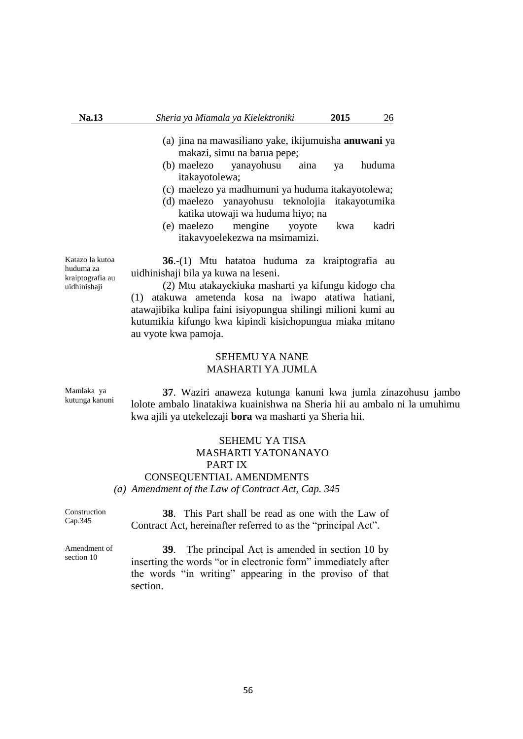- (a) jina na mawasiliano yake, ikijumuisha **anuwani** ya makazi, simu na barua pepe;
- (b) maelezo yanayohusu aina ya huduma itakayotolewa;
- (c) maelezo ya madhumuni ya huduma itakayotolewa;
- (d) maelezo yanayohusu teknolojia itakayotumika katika utowaji wa huduma hiyo; na
- (e) maelezo mengine yoyote kwa kadri itakavyoelekezwa na msimamizi.

**36**.-(1) Mtu hatatoa huduma za kraiptografia au uidhinishaji bila ya kuwa na leseni.

(2) Mtu atakayekiuka masharti ya kifungu kidogo cha (1) atakuwa ametenda kosa na iwapo atatiwa hatiani, atawajibika kulipa faini isiyopungua shilingi milioni kumi au kutumikia kifungo kwa kipindi kisichopungua miaka mitano au vyote kwa pamoja.

#### SEHEMU YA NANE MASHARTI YA JUMLA

Mamlaka ya kutunga kanuni

**37**. Waziri anaweza kutunga kanuni kwa jumla zinazohusu jambo lolote ambalo linatakiwa kuainishwa na Sheria hii au ambalo ni la umuhimu kwa ajili ya utekelezaji **bora** wa masharti ya Sheria hii.

## SEHEMU YA TISA MASHARTI YATONANAYO PART IX CONSEQUENTIAL AMENDMENTS *(a) Amendment of the Law of Contract Act, Cap. 345*

Construction Cap.345

**38**. This Part shall be read as one with the Law of Contract Act, hereinafter referred to as the "principal Act".

Amendment of section 10

**39**. The principal Act is amended in section 10 by inserting the words "or in electronic form" immediately after the words "in writing" appearing in the proviso of that section.

Katazo la kutoa huduma za kraiptografia au uidhinishaji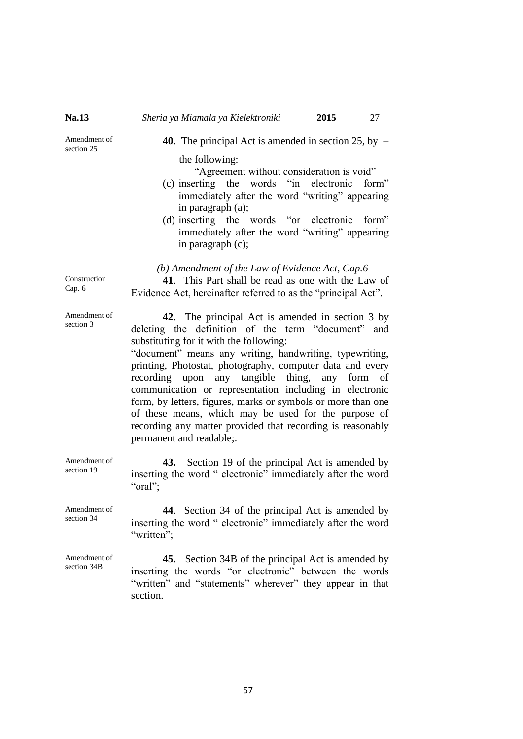Amendment of section 25

**40**. The principal Act is amended in section 25, by – the following:

"Agreement without consideration is void"

- (c) inserting the words "in electronic form" immediately after the word "writing" appearing in paragraph (a);
- (d) inserting the words "or electronic form" immediately after the word "writing" appearing in paragraph (c);

*(b) Amendment of the Law of Evidence Act, Cap.6*

**41**. This Part shall be read as one with the Law of Evidence Act, hereinafter referred to as the "principal Act".

**42**. The principal Act is amended in section 3 by deleting the definition of the term "document" and substituting for it with the following:

"document" means any writing, handwriting, typewriting, printing, Photostat, photography, computer data and every recording upon any tangible thing, any form of communication or representation including in electronic form, by letters, figures, marks or symbols or more than one of these means, which may be used for the purpose of recording any matter provided that recording is reasonably permanent and readable;.

**43.** Section 19 of the principal Act is amended by inserting the word " electronic" immediately after the word "oral";

**44**. Section 34 of the principal Act is amended by inserting the word " electronic" immediately after the word "written":

**45.** Section 34B of the principal Act is amended by inserting the words "or electronic" between the words "written" and "statements" wherever" they appear in that section.

Construction Cap. 6

Amendment of section 3

Amendment of section 19

Amendment of section 34

Amendment of section 34B